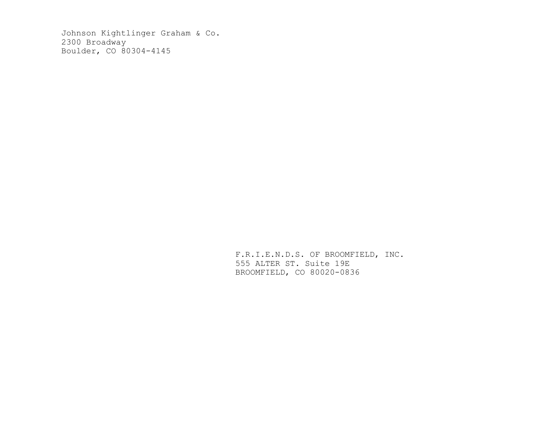Johnson Kightlinger Graham & Co. 2300 Broadway Boulder, CO 80304-4145

> F.R.I.E.N.D.S. OF BROOMFIELD, INC. 555 ALTER ST. Suite 19E BROOMFIELD, CO 80020-0836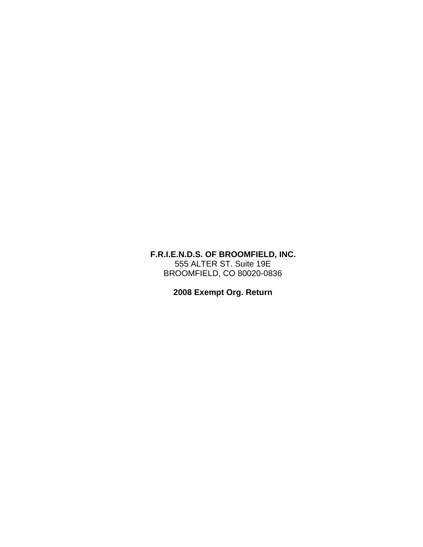## **F.R.I.E.N.D.S. OF BROOMFIELD, INC.** 555 ALTER ST. Suite 19E BROOMFIELD, CO 80020-0836

**2008 Exempt Org. Return**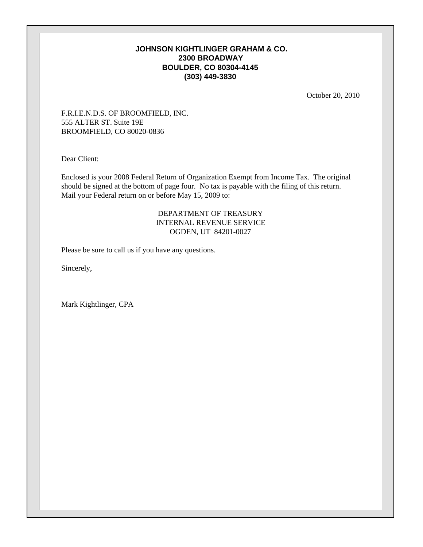### **JOHNSON KIGHTLINGER GRAHAM & CO. 2300 BROADWAY BOULDER, CO 80304-4145 (303) 449-3830**

October 20, 2010

F.R.I.E.N.D.S. OF BROOMFIELD, INC. 555 ALTER ST. Suite 19E BROOMFIELD, CO 80020-0836

Dear Client:

Enclosed is your 2008 Federal Return of Organization Exempt from Income Tax. The original should be signed at the bottom of page four. No tax is payable with the filing of this return. Mail your Federal return on or before May 15, 2009 to:

### DEPARTMENT OF TREASURY INTERNAL REVENUE SERVICE OGDEN, UT 84201-0027

Please be sure to call us if you have any questions.

Sincerely,

Mark Kightlinger, CPA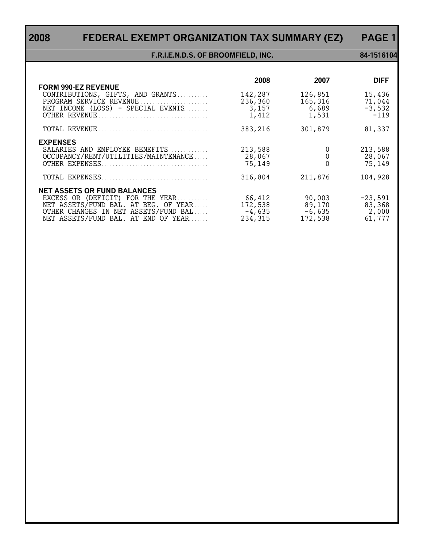# **2008 FEDERAL EXEMPT ORGANIZATION TAX SUMMARY (EZ) PAGE 1**

### **F.R.I.E.N.D.S. OF BROOMFIELD, INC. 84-1516104**

|                                                                                                                                                                                               | 2008                                     | 2007                                    | <b>DIFF</b>                            |
|-----------------------------------------------------------------------------------------------------------------------------------------------------------------------------------------------|------------------------------------------|-----------------------------------------|----------------------------------------|
| <b>FORM 990-EZ REVENUE</b><br>CONTRIBUTIONS, GIFTS, AND GRANTS<br>PROGRAM SERVICE REVENUE<br>NET INCOME (LOSS) - SPECIAL EVENTS                                                               | 142,287<br>236,360<br>3,157<br>1,412     | 126,851<br>165,316<br>6,689<br>1,531    | 15,436<br>71,044<br>$-3,532$<br>$-119$ |
|                                                                                                                                                                                               | 383,216                                  | 301,879                                 | 81,337                                 |
| <b>EXPENSES</b><br>SALARIES AND EMPLOYEE BENEFITS<br>OCCUPANCY/RENT/UTILITIES/MAINTENANCE<br>OTHER EXPENSES.                                                                                  | 213,588<br>28,067<br>75,149              |                                         | 213,588<br>28,067<br>75,149            |
|                                                                                                                                                                                               | 316,804                                  | 211,876                                 | 104,928                                |
| <b>NET ASSETS OR FUND BALANCES</b><br>EXCESS OR (DEFICIT) FOR THE YEAR<br>NET ASSETS/FUND BAL. AT BEG. OF YEAR<br>OTHER CHANGES IN NET ASSETS/FUND BAL<br>NET ASSETS/FUND BAL. AT END OF YEAR | 66,412<br>172,538<br>$-4,635$<br>234,315 | 90,003<br>89,170<br>$-6,635$<br>172,538 | $-23,591$<br>83,368<br>2,000<br>61,777 |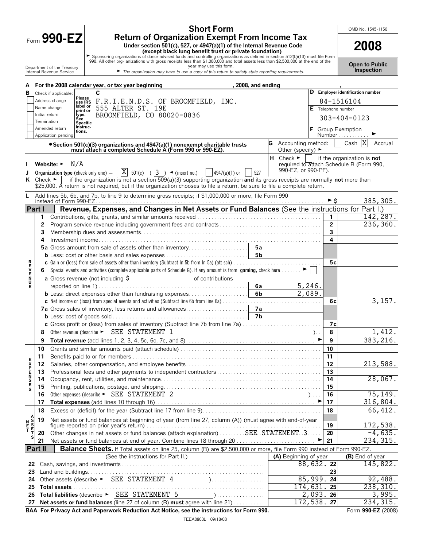Form **990-EZ**

# **Short Form Return of Organization Exempt From Income Tax**

Under section 501(c), 527, or 4947(a)(1) of the Internal Revenue Code<br>
Exponsion of descept black lung benefit trust or private foundation)<br>
Sponsoring organizations of donor advised funds and controlling organizations as

OMB No. 1545-1150

| <b>Open to Public</b> |  |
|-----------------------|--|
| <b>Inspection</b>     |  |

|             |                             | Department of the Treasury<br>year may use this form.<br>Internal Revenue Service<br>The organization may have to use a copy of this return to satisfy state reporting requirements.                                                                                                                                                        |                                        |                    | <b>Inspection</b>                                                      |
|-------------|-----------------------------|---------------------------------------------------------------------------------------------------------------------------------------------------------------------------------------------------------------------------------------------------------------------------------------------------------------------------------------------|----------------------------------------|--------------------|------------------------------------------------------------------------|
|             |                             |                                                                                                                                                                                                                                                                                                                                             |                                        |                    |                                                                        |
| А<br>в      |                             | For the 2008 calendar year, or tax year beginning<br>, 2008, and ending<br>C<br>Check if applicable:                                                                                                                                                                                                                                        |                                        |                    | D Employer identification number                                       |
|             |                             | Please<br>Address change<br>Lease $\mathsf{F.R.I.E.N.D.S. OF BROOMFIELD, INC.}$                                                                                                                                                                                                                                                             |                                        |                    | 84-1516104                                                             |
|             |                             | label or<br>Name change<br>555 ALTER ST. 19E<br>print or                                                                                                                                                                                                                                                                                    |                                        | E Telephone number |                                                                        |
|             | Initial return              | BROOMFIELD, CO 80020-0836<br>type.<br>Sée                                                                                                                                                                                                                                                                                                   |                                        |                    | 303-404-0123                                                           |
|             | Termination                 | <b>Specific</b><br>Instruc-<br>Amended return                                                                                                                                                                                                                                                                                               |                                        |                    |                                                                        |
|             |                             | tions.<br>Application pending                                                                                                                                                                                                                                                                                                               |                                        |                    | F Group Exemption<br>$Number \dots \dots$                              |
|             |                             | • Section 501(c)(3) organizations and 4947(a)(1) nonexempt charitable trusts                                                                                                                                                                                                                                                                | Accounting method:                     |                    | Cash $ X $<br>Accrual                                                  |
|             |                             | must attach a completed Schedule A (Form 990 or 990-EZ).                                                                                                                                                                                                                                                                                    | Other (specify) $\blacktriangleright$  |                    |                                                                        |
|             |                             | Website: $\blacktriangleright$ N/A                                                                                                                                                                                                                                                                                                          | $H$ Check $\blacktriangleright$        |                    | if the organization is not<br>required to attach Schedule B (Form 990, |
|             |                             | $ X $ 501(c) ( 3 ) $\blacktriangleleft$ (insert no.)<br>527<br>4947(a)(1) or<br><b>Organization type</b> (check only one) $-$                                                                                                                                                                                                               | 990-EZ, or 990-PF).                    |                    |                                                                        |
| K           | Check $\blacktriangleright$ | if the organization is not a section $509(a)(3)$ supporting organization and its gross receipts are normally not more than                                                                                                                                                                                                                  |                                        |                    |                                                                        |
|             |                             | \$25,000. A return is not required, but if the organization chooses to file a return, be sure to file a complete return.                                                                                                                                                                                                                    |                                        |                    |                                                                        |
| L.          |                             | Add lines 5b, 6b, and 7b, to line 9 to determine gross receipts; if \$1,000,000 or more, file Form 990                                                                                                                                                                                                                                      |                                        |                    |                                                                        |
|             | Part I                      | Revenue, Expenses, and Changes in Net Assets or Fund Balances (See the instructions for Part I.)                                                                                                                                                                                                                                            |                                        | ►s                 | 385, 305.                                                              |
|             | 1                           |                                                                                                                                                                                                                                                                                                                                             |                                        | 1                  | 142,287.                                                               |
|             | 2                           |                                                                                                                                                                                                                                                                                                                                             |                                        | $\overline{2}$     | 236,360.                                                               |
|             | 3                           |                                                                                                                                                                                                                                                                                                                                             |                                        | $\overline{3}$     |                                                                        |
|             | 4                           |                                                                                                                                                                                                                                                                                                                                             |                                        | 4                  |                                                                        |
|             |                             |                                                                                                                                                                                                                                                                                                                                             |                                        |                    |                                                                        |
|             |                             |                                                                                                                                                                                                                                                                                                                                             |                                        |                    |                                                                        |
| ロマロスロ       | 6                           | Special events and activities (complete applicable parts of Schedule G). If any amount is from gaming, check here                                                                                                                                                                                                                           |                                        | 5с                 |                                                                        |
|             |                             |                                                                                                                                                                                                                                                                                                                                             |                                        |                    |                                                                        |
| Е           |                             | 6al                                                                                                                                                                                                                                                                                                                                         |                                        |                    |                                                                        |
|             |                             | 6 <sub>b</sub><br><b>b</b> Less: direct expenses other than fundraising expenses                                                                                                                                                                                                                                                            | $\frac{5,246}{2,089}$                  |                    |                                                                        |
|             |                             |                                                                                                                                                                                                                                                                                                                                             |                                        | 6с                 | 3,157.                                                                 |
|             |                             |                                                                                                                                                                                                                                                                                                                                             |                                        |                    |                                                                        |
|             |                             |                                                                                                                                                                                                                                                                                                                                             |                                        |                    |                                                                        |
|             | 8                           | c Gross profit or (loss) from sales of inventory (Subtract line 7b from line 7a)<br>Other revenue (describe > SEE STATEMENT 1                                                                                                                                                                                                               |                                        | 7с<br>8            | 1,412.                                                                 |
|             | 9                           | $\overline{\phantom{a}}$ ). The contract of the contract of the contract of $\overline{\phantom{a}}$ ), i.e.                                                                                                                                                                                                                                |                                        | 9                  | 383,216.                                                               |
|             | 10                          |                                                                                                                                                                                                                                                                                                                                             |                                        | 10                 |                                                                        |
|             | 11                          |                                                                                                                                                                                                                                                                                                                                             |                                        | 11                 |                                                                        |
| E<br>X<br>P | 12                          |                                                                                                                                                                                                                                                                                                                                             |                                        | 12                 | 213,588.                                                               |
| Е           | 13                          |                                                                                                                                                                                                                                                                                                                                             |                                        | 13                 |                                                                        |
| S<br>E<br>S | 14                          |                                                                                                                                                                                                                                                                                                                                             |                                        | 14                 | 28,067.                                                                |
|             | 15                          |                                                                                                                                                                                                                                                                                                                                             |                                        | 15                 |                                                                        |
|             | 16<br>17                    | Other expenses (describe > SEE STATEMENT 2                                                                                                                                                                                                                                                                                                  |                                        | 16<br>17           | $\overline{75}$ , 149.<br>316,804.                                     |
|             | 18                          |                                                                                                                                                                                                                                                                                                                                             |                                        | 18                 | 66, 412.                                                               |
|             | 19                          | Net assets or fund balances at beginning of year (from line 27, column (A)) (must agree with end-of-year                                                                                                                                                                                                                                    |                                        |                    |                                                                        |
|             |                             |                                                                                                                                                                                                                                                                                                                                             |                                        | 19                 | 172,538.                                                               |
|             | 20                          | Other changes in net assets or fund balances (attach explanation) SEE STATEMENT.3                                                                                                                                                                                                                                                           |                                        | 20                 | $-4,635.$                                                              |
|             | 21                          | Net assets or fund balances at end of year. Combine lines 18 through 20                                                                                                                                                                                                                                                                     |                                        | 21                 | 234, 315.                                                              |
|             | <b>Part II</b>              | Balance Sheets. If Total assets on line 25, column (B) are \$2,500,000 or more, file Form 990 instead of Form 990-EZ.                                                                                                                                                                                                                       |                                        |                    |                                                                        |
| 22          |                             | (See the instructions for Part II.)                                                                                                                                                                                                                                                                                                         | (A) Beginning of year<br>$88,632.$  22 |                    | (B) End of year<br>145,822.                                            |
| 23          |                             |                                                                                                                                                                                                                                                                                                                                             |                                        | 23                 |                                                                        |
| 24          |                             |                                                                                                                                                                                                                                                                                                                                             | 85,999.                                | 24                 | 92,488.                                                                |
| 25          |                             |                                                                                                                                                                                                                                                                                                                                             | 174,631                                | 25                 | 238, 310.                                                              |
| 26          |                             | Total liabilities (describe > SEE STATEMENT 5<br>$\sum_{i=1}^{n}$ , $\sum_{i=1}^{n}$ , $\sum_{i=1}^{n}$ , $\sum_{i=1}^{n}$ , $\sum_{i=1}^{n}$ , $\sum_{i=1}^{n}$ , $\sum_{i=1}^{n}$ , $\sum_{i=1}^{n}$ , $\sum_{i=1}^{n}$ , $\sum_{i=1}^{n}$ , $\sum_{i=1}^{n}$ , $\sum_{i=1}^{n}$ , $\sum_{i=1}^{n}$ , $\sum_{i=1}^{n}$ , $\sum_{i=1}^{n}$ | 2,093.                                 | 26                 | 3,995.                                                                 |
| 27          |                             | Net assets or fund balances (line 27 of column (B) must agree with line 21)                                                                                                                                                                                                                                                                 | 172,538.                               | 27                 | 234, 315.                                                              |
|             |                             | BAA For Privacy Act and Paperwork Reduction Act Notice, see the instructions for Form 990.                                                                                                                                                                                                                                                  |                                        |                    | Form 990-EZ (2008)                                                     |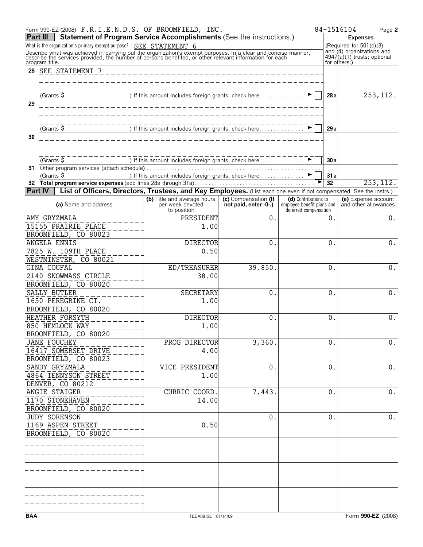|            | Form 990-EZ (2008) F.R.I.E.N.D.S. OF BROOMFIELD, INC.                                                                                                                                                                                                                                                         |                                                                                                                    |                                               |                                                                             | 84-1516104   | Page 2                                                                                |
|------------|---------------------------------------------------------------------------------------------------------------------------------------------------------------------------------------------------------------------------------------------------------------------------------------------------------------|--------------------------------------------------------------------------------------------------------------------|-----------------------------------------------|-----------------------------------------------------------------------------|--------------|---------------------------------------------------------------------------------------|
| Part III   | Statement of Program Service Accomplishments (See the instructions.)                                                                                                                                                                                                                                          |                                                                                                                    |                                               |                                                                             |              | <b>Expenses</b>                                                                       |
|            | What is the organization's primary exempt purpose? SEE STATEMENT 6<br>Describe what was achieved in carrying out the organization's exempt purposes. In a clear and concise manner, describe the services provided, the number of persons benefited, or other relevant information for each<br>program title. |                                                                                                                    |                                               |                                                                             | for others.) | (Required for $501(c)(3)$<br>and (4) organizations and<br>4947(a)(1) trusts; optional |
| 28         | SEE STATEMENT 7                                                                                                                                                                                                                                                                                               |                                                                                                                    |                                               |                                                                             |              |                                                                                       |
| 29         | $(Grants$ \$                                                                                                                                                                                                                                                                                                  | ) If this amount includes foreign grants, check here ▶                                                             |                                               |                                                                             | 28a          | 253, 112.                                                                             |
| 30         | (Grants $\frac{1}{2}$                                                                                                                                                                                                                                                                                         |                                                                                                                    |                                               |                                                                             | 29a          |                                                                                       |
|            |                                                                                                                                                                                                                                                                                                               |                                                                                                                    |                                               |                                                                             |              |                                                                                       |
|            | (Grants $\overline{\$}$<br>31 Other program services (attach schedule).                                                                                                                                                                                                                                       | ) If this amount includes foreign grants, check here                                                               |                                               |                                                                             | 30a          |                                                                                       |
|            | (Grants \$                                                                                                                                                                                                                                                                                                    | ) If this amount includes foreign grants, check here                                                               |                                               |                                                                             | 31 a         |                                                                                       |
|            |                                                                                                                                                                                                                                                                                                               |                                                                                                                    |                                               | ▶                                                                           | 32           | 253, 112.                                                                             |
| Part IV    |                                                                                                                                                                                                                                                                                                               | List of Officers, Directors, Trustees, and Key Employees. (List each one even if not compensated. See the instrs.) |                                               |                                                                             |              |                                                                                       |
|            | (a) Name and address                                                                                                                                                                                                                                                                                          | (b) Title and average hours<br>per week devoted<br>to position                                                     | (c) Compensation (If<br>not paid, enter -0-.) | (d) Contributions to<br>employee benefit plans and<br>deferred compensation |              | (e) Expense account<br>and other allowances                                           |
|            | AMY GRYZMALA<br>15155 PRAIRIE PLACE                                                                                                                                                                                                                                                                           | PRESIDENT<br>1.00                                                                                                  | $\theta$ .                                    |                                                                             | 0.           | 0.                                                                                    |
|            | BROOMFIELD, CO 80023<br>ANGELA ENNIS                                                                                                                                                                                                                                                                          | <b>DIRECTOR</b>                                                                                                    | $\theta$ .                                    |                                                                             | $\Omega$ .   | 0.                                                                                    |
|            | 7825 W. 109TH PLACE<br>WESTMINSTER, CO 80021                                                                                                                                                                                                                                                                  | 0.50                                                                                                               |                                               |                                                                             |              |                                                                                       |
|            | <b>GINA COUFAL</b>                                                                                                                                                                                                                                                                                            | ED/TREASURER                                                                                                       | 39,850.                                       |                                                                             | $\Omega$ .   | 0.                                                                                    |
|            | 2140 SNOWMASS CIRCLE<br>BROOMFIELD, CO 80020                                                                                                                                                                                                                                                                  | 38.00                                                                                                              |                                               |                                                                             |              |                                                                                       |
|            | SALLY BUTLER<br>1650 PEREGRINE CT.<br>BROOMFIELD, CO 80020                                                                                                                                                                                                                                                    | SECRETARY<br>1.00                                                                                                  | $\theta$ .                                    |                                                                             | $\Omega$ .   | 0.                                                                                    |
|            | HEATHER FORSYTH<br>850 HEMLOCK WAY                                                                                                                                                                                                                                                                            | <b>DIRECTOR</b><br>1.00                                                                                            | $\theta$ .                                    |                                                                             | $0$ .        | 0.                                                                                    |
|            | BROOMFIELD, CO 80020<br><b>JANE FOUCHEY</b>                                                                                                                                                                                                                                                                   | PROG DIRECTOR                                                                                                      | 3,360.                                        |                                                                             | 0.           | $0$ .                                                                                 |
|            | 16417 SOMERSET DRIVE<br>BROOMFIELD, CO 80023                                                                                                                                                                                                                                                                  | 4.00                                                                                                               |                                               |                                                                             |              |                                                                                       |
|            | SANDY GRYZMALA<br>4864 TENNYSON STREET<br>DENVER, CO 80212                                                                                                                                                                                                                                                    | VICE PRESIDENT<br>1.00                                                                                             | $\overline{0}$ .                              |                                                                             | 0.           | $0$ .                                                                                 |
|            | ANGIE STAIGER<br>1170 STONEHAVEN<br>BROOMFIELD, CO 80020                                                                                                                                                                                                                                                      | CURRIC COORD.<br>14.00                                                                                             | 7,443.                                        |                                                                             | 0.           | $0$ .                                                                                 |
|            | JUDY SORENSON<br>1169 ASPEN STREET<br>BROOMFIELD, CO 80020                                                                                                                                                                                                                                                    | 0.50                                                                                                               | $\overline{0}$ .                              |                                                                             | 0.           | 0.                                                                                    |
|            |                                                                                                                                                                                                                                                                                                               |                                                                                                                    |                                               |                                                                             |              |                                                                                       |
|            |                                                                                                                                                                                                                                                                                                               |                                                                                                                    |                                               |                                                                             |              |                                                                                       |
|            |                                                                                                                                                                                                                                                                                                               |                                                                                                                    |                                               |                                                                             |              |                                                                                       |
|            |                                                                                                                                                                                                                                                                                                               |                                                                                                                    |                                               |                                                                             |              |                                                                                       |
| <b>BAA</b> |                                                                                                                                                                                                                                                                                                               | TEEA0812L 01/14/09                                                                                                 |                                               |                                                                             |              | Form 990-EZ (2008)                                                                    |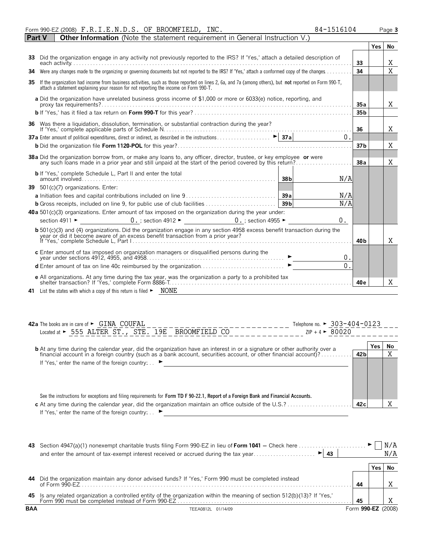|               |  | Form 990-EZ (2008) $F.R.I.E.N.D.S. OF BRODUCTION. INC.$                                                                    | 84-1516104 |    |            | Page 3 |
|---------------|--|----------------------------------------------------------------------------------------------------------------------------|------------|----|------------|--------|
| <b>Part V</b> |  | <b>Other Information</b> (Note the statement requirement in General Instruction V.)                                        |            |    |            |        |
|               |  |                                                                                                                            |            |    | <b>Yes</b> |        |
| 33            |  | Did the organization engage in any activity not previously reported to the IRS? If 'Yes,' attach a detailed description of |            | 33 |            |        |

| 34 Were any changes made to the organizing or governing documents but not reported to the IRS? If 'Yes,' attach a conformed copy of the changes                                                                                                    |                 |  |   |  |  |  |
|----------------------------------------------------------------------------------------------------------------------------------------------------------------------------------------------------------------------------------------------------|-----------------|--|---|--|--|--|
| 35 If the organization had income from business activities, such as those reported on lines 2, 6a, and 7a (among others), but not reported on Form 990-T,<br>attach a statement explaining your reason for not reporting the income on Form 990-T. |                 |  |   |  |  |  |
| a Did the organization have unrelated business gross income of \$1,000 or more or 6033(e) notice, reporting, and<br>proxy tax requirements?.                                                                                                       | 35a             |  | X |  |  |  |
|                                                                                                                                                                                                                                                    | 35 <sub>b</sub> |  |   |  |  |  |
| 36 Was there a liquidation, dissolution, termination, or substantial contraction during the year?                                                                                                                                                  | 36              |  | X |  |  |  |
| 0.                                                                                                                                                                                                                                                 |                 |  |   |  |  |  |
|                                                                                                                                                                                                                                                    | 37 <sub>b</sub> |  | X |  |  |  |
| 38a Did the organization borrow from, or make any loans to, any officer, director, trustee, or key employee or were                                                                                                                                | 38a             |  | X |  |  |  |
| any such loans made in a prior year and still unpaid at the start of the period covered by this return?                                                                                                                                            |                 |  |   |  |  |  |
| <b>b</b> If 'Yes,' complete Schedule L, Part II and enter the total<br>N/A<br>38b                                                                                                                                                                  |                 |  |   |  |  |  |
| 39 501(c)(7) organizations. Enter:                                                                                                                                                                                                                 |                 |  |   |  |  |  |
| N/A                                                                                                                                                                                                                                                |                 |  |   |  |  |  |
| N/A                                                                                                                                                                                                                                                |                 |  |   |  |  |  |
| <b>40 a</b> 501(c)(3) organizations. Enter amount of tax imposed on the organization during the year under:                                                                                                                                        |                 |  |   |  |  |  |
| section 4911 $\triangleright$ 0. ; section 4912 $\triangleright$ 0. ; section 4955 $\triangleright$<br>0.                                                                                                                                          |                 |  |   |  |  |  |
| $\mathbf b$ 501(c)(3) and (4) organizations. Did the organization engage in any section 4958 excess benefit transaction during the<br>year or did it become aware of an excess benefit transaction from a prior year?                              |                 |  |   |  |  |  |
|                                                                                                                                                                                                                                                    | 40 b            |  | X |  |  |  |
| <b>c</b> Enter amount of tax imposed on organization managers or disqualified persons during the<br>vear under sections 4912, 4955, and 4958.<br>0.                                                                                                |                 |  |   |  |  |  |
| $\overline{0}$ .                                                                                                                                                                                                                                   |                 |  |   |  |  |  |
| <b>e</b> All organizations. At any time during the tax year, was the organization a party to a prohibited tax<br>shelter transaction? If 'Yes,' complete Form 8886-T.                                                                              | 40 <sub>e</sub> |  | X |  |  |  |
| <b>41</b> List the states with which a copy of this return is filed $\blacktriangleright$ NONE                                                                                                                                                     |                 |  |   |  |  |  |

| Telephone no. $\triangleright$ 303-404-0123<br><b>42a</b> The books are in care of $\blacktriangleright$ $\Box$ CNA $\Box$ COUFAL                                                                      |                 |     |     |
|--------------------------------------------------------------------------------------------------------------------------------------------------------------------------------------------------------|-----------------|-----|-----|
| Located at ► 555 ALTER ST., STE. 19E BROOMFIELD CO<br>$ZIP + 4$ $\triangleright$ 80020                                                                                                                 |                 |     |     |
| <b>b</b> At any time during the calendar year, did the organization have an interest in or a signature or other authority over a                                                                       |                 | Yes | No. |
| financial account in a foreign country (such as a bank account, securities account, or other financial account)?                                                                                       | 42 <sub>b</sub> |     | v   |
| If 'Yes,' enter the name of the foreign country: $\blacksquare$<br>See the instructions for exceptions and filing requirements for Form TD F 90-22.1, Report of a Foreign Bank and Financial Accounts. |                 |     |     |
|                                                                                                                                                                                                        | 42c             |     |     |
| If 'Yes,' enter the name of the foreign country:                                                                                                                                                       |                 |     |     |

| 43         | Section 4947(a)(1) nonexempt charitable trusts filing Form 990-EZ in lieu of Form 1041 – Check here<br>$\blacktriangleright$<br>and enter the amount of tax-exempt interest received or accrued during the tax year<br>43 |                    |     | N/A |
|------------|---------------------------------------------------------------------------------------------------------------------------------------------------------------------------------------------------------------------------|--------------------|-----|-----|
|            |                                                                                                                                                                                                                           |                    | res |     |
| 44         | Did the organization maintain any donor advised funds? If 'Yes,' Form 990 must be completed instead<br>of Form $990-FZ$                                                                                                   | 44                 |     |     |
| 45         |                                                                                                                                                                                                                           | 45                 |     |     |
| <b>BAA</b> | TEEA0812L 01/14/09                                                                                                                                                                                                        | Form 990-EZ (2008) |     |     |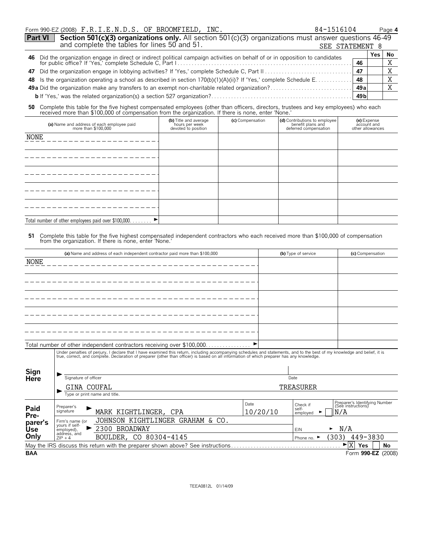|                                                                                                                                                                                         | Form 990-EZ (2008) F.R.I.E.N.D.S. OF BROOMFIELD, INC.<br>84-1516104 |       |       | Page 4 |
|-----------------------------------------------------------------------------------------------------------------------------------------------------------------------------------------|---------------------------------------------------------------------|-------|-------|--------|
| Section 501(c)(3) organizations only. All section 501(c)(3) organizations must answer questions 46-49 and complete the tables for lines 50 and 51.<br><b>Part VI</b><br>SEE STATEMENT 8 |                                                                     |       |       |        |
|                                                                                                                                                                                         |                                                                     |       |       |        |
|                                                                                                                                                                                         |                                                                     | 46    |       |        |
|                                                                                                                                                                                         |                                                                     | 47    |       |        |
|                                                                                                                                                                                         |                                                                     | 48    |       | X      |
|                                                                                                                                                                                         |                                                                     | 49 al |       |        |
|                                                                                                                                                                                         |                                                                     |       |       |        |
|                                                                                                                                                                                         |                                                                     |       | Yes l | No     |

**50** Complete this table for the five highest compensated employees (other than officers, directors, trustees and key employees) who each received more than \$100,000 of compensation from the organization. If there is none, enter 'None.'

| (a) Name and address of each employee paid<br>more than \$100,000             | (b) Title and average<br>hours per week<br>devoted to position | (c) Compensation | (d) Contributions to employee<br>benefit plans and<br>deferred compensation | (e) Expense<br>account and<br>other allowances |
|-------------------------------------------------------------------------------|----------------------------------------------------------------|------------------|-----------------------------------------------------------------------------|------------------------------------------------|
| NONE                                                                          |                                                                |                  |                                                                             |                                                |
|                                                                               |                                                                |                  |                                                                             |                                                |
|                                                                               |                                                                |                  |                                                                             |                                                |
|                                                                               |                                                                |                  |                                                                             |                                                |
|                                                                               |                                                                |                  |                                                                             |                                                |
| $\blacktriangleright$<br>Total number of other employees paid over \$100,000. |                                                                |                  |                                                                             |                                                |

# **51** Complete this table for the five highest compensated independent contractors who each received more than \$100,000 of compensation from the organization. If there is none, enter 'None.'

|             |                              | (a) Name and address of each independent contractor paid more than \$100,000                                                                                                                                                   |           | (b) Type of service             | (c) Compensation                                    |  |  |
|-------------|------------------------------|--------------------------------------------------------------------------------------------------------------------------------------------------------------------------------------------------------------------------------|-----------|---------------------------------|-----------------------------------------------------|--|--|
| <b>NONE</b> |                              |                                                                                                                                                                                                                                |           |                                 |                                                     |  |  |
|             |                              |                                                                                                                                                                                                                                |           |                                 |                                                     |  |  |
|             |                              |                                                                                                                                                                                                                                |           |                                 |                                                     |  |  |
|             |                              |                                                                                                                                                                                                                                |           |                                 |                                                     |  |  |
|             |                              |                                                                                                                                                                                                                                |           |                                 |                                                     |  |  |
|             |                              |                                                                                                                                                                                                                                |           |                                 |                                                     |  |  |
|             |                              |                                                                                                                                                                                                                                |           |                                 |                                                     |  |  |
|             |                              |                                                                                                                                                                                                                                |           |                                 |                                                     |  |  |
|             |                              |                                                                                                                                                                                                                                |           |                                 |                                                     |  |  |
|             |                              | Total number of other independent contractors receiving over \$100,000                                                                                                                                                         |           |                                 |                                                     |  |  |
|             |                              | Under penalties of perjury, I declare that I have examined this return, including accompanying schedules and statements, and to the best of my knowledge and belief, it is true, correct, and complete. Declaration of prepare |           |                                 |                                                     |  |  |
|             |                              |                                                                                                                                                                                                                                |           |                                 |                                                     |  |  |
| Sign        |                              |                                                                                                                                                                                                                                |           |                                 |                                                     |  |  |
| Here        |                              | Signature of officer                                                                                                                                                                                                           |           |                                 | Date                                                |  |  |
|             | GINA COUFAL                  |                                                                                                                                                                                                                                | TREASURER |                                 |                                                     |  |  |
|             |                              | Type or print name and title.                                                                                                                                                                                                  |           |                                 |                                                     |  |  |
| Paid        | Preparer's                   |                                                                                                                                                                                                                                | Date      | Check if                        | Preparer's Identifying Number<br>(See instructions) |  |  |
| Pre-        | signature                    | MARK KIGHTLINGER, CPA                                                                                                                                                                                                          | 10/20/10  | self-<br>employed               | N/A                                                 |  |  |
| parer's     | Firm's name (or              | JOHNSON KIGHTLINGER GRAHAM & CO.                                                                                                                                                                                               |           |                                 |                                                     |  |  |
| Use         | yours if self-<br>employed), | 2300 BROADWAY                                                                                                                                                                                                                  |           | <b>EIN</b>                      | N/A<br>►                                            |  |  |
| Only        | address, and<br>$ZIP + 4$    | BOULDER, CO 80304-4145                                                                                                                                                                                                         |           | Phone no. $\blacktriangleright$ | (303)<br>449-3830                                   |  |  |
|             |                              | May the IRS discuss this return with the preparer shown above? See instructions                                                                                                                                                |           |                                 | X<br><b>Yes</b><br>No                               |  |  |
| <b>BAA</b>  |                              |                                                                                                                                                                                                                                |           |                                 | Form 990-EZ (2008)                                  |  |  |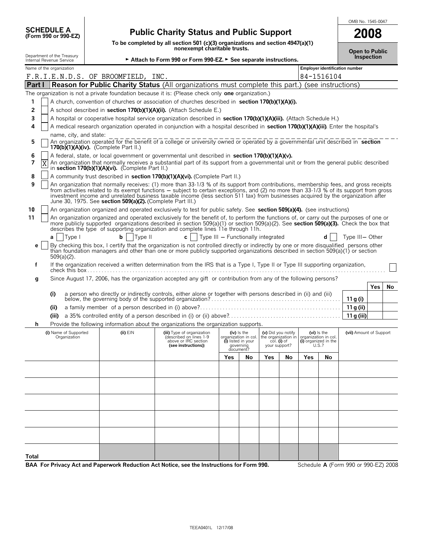|                                                        |                                                                                                                                                                                                                                                                                                                                                                                                                                                                                      |                                                                               |                                                                                                                |                                                             |                    |                                    |     |                                                            | OMB No. 1545-0047       |            |    |
|--------------------------------------------------------|--------------------------------------------------------------------------------------------------------------------------------------------------------------------------------------------------------------------------------------------------------------------------------------------------------------------------------------------------------------------------------------------------------------------------------------------------------------------------------------|-------------------------------------------------------------------------------|----------------------------------------------------------------------------------------------------------------|-------------------------------------------------------------|--------------------|------------------------------------|-----|------------------------------------------------------------|-------------------------|------------|----|
| <b>SCHEDULE A</b><br>(Form 990 or 990-EZ)              |                                                                                                                                                                                                                                                                                                                                                                                                                                                                                      | <b>Public Charity Status and Public Support</b>                               |                                                                                                                |                                                             |                    |                                    |     |                                                            |                         | 2008       |    |
|                                                        |                                                                                                                                                                                                                                                                                                                                                                                                                                                                                      |                                                                               | To be completed by all section 501 (c)(3) organizations and section 4947(a)(1)<br>nonexempt charitable trusts. |                                                             |                    |                                    |     | <b>Open to Public</b>                                      |                         |            |    |
| Department of the Treasury<br>Internal Revenue Service |                                                                                                                                                                                                                                                                                                                                                                                                                                                                                      | Attach to Form 990 or Form 990-EZ. > See separate instructions.               |                                                                                                                |                                                             |                    |                                    |     |                                                            |                         | Inspection |    |
| Name of the organization                               | F.R.I.E.N.D.S. OF BROOMFIELD, INC.                                                                                                                                                                                                                                                                                                                                                                                                                                                   |                                                                               |                                                                                                                |                                                             |                    |                                    |     | <b>Employer identification number</b><br>84-1516104        |                         |            |    |
| Part I                                                 | Reason for Public Charity Status (All organizations must complete this part.) (see instructions)                                                                                                                                                                                                                                                                                                                                                                                     |                                                                               |                                                                                                                |                                                             |                    |                                    |     |                                                            |                         |            |    |
|                                                        | The organization is not a private foundation because it is: (Please check only one organization.)                                                                                                                                                                                                                                                                                                                                                                                    |                                                                               |                                                                                                                |                                                             |                    |                                    |     |                                                            |                         |            |    |
| 1                                                      | A church, convention of churches or association of churches described in section 170(b)(1)(A)(i).                                                                                                                                                                                                                                                                                                                                                                                    |                                                                               |                                                                                                                |                                                             |                    |                                    |     |                                                            |                         |            |    |
| 2                                                      | A school described in section 170(b)(1)(A)(ii). (Attach Schedule E.)                                                                                                                                                                                                                                                                                                                                                                                                                 |                                                                               |                                                                                                                |                                                             |                    |                                    |     |                                                            |                         |            |    |
| 3                                                      | A hospital or cooperative hospital service organization described in section 170(b)(1)(A)(iii). (Attach Schedule H.)                                                                                                                                                                                                                                                                                                                                                                 |                                                                               |                                                                                                                |                                                             |                    |                                    |     |                                                            |                         |            |    |
| 4                                                      | A medical research organization operated in conjunction with a hospital described in section 170(b)(1)(A)(iii). Enter the hospital's                                                                                                                                                                                                                                                                                                                                                 |                                                                               |                                                                                                                |                                                             |                    |                                    |     |                                                            |                         |            |    |
| name, city, and state:<br>5                            | An organization operated for the benefit of a college or university owned or operated by a governmental unit described in section<br>170(b)(1)(A)(iv). (Complete Part II.)                                                                                                                                                                                                                                                                                                           |                                                                               |                                                                                                                |                                                             |                    |                                    |     |                                                            |                         |            |    |
| 6                                                      | A federal, state, or local government or governmental unit described in section 170(b)(1)(A)(v).                                                                                                                                                                                                                                                                                                                                                                                     |                                                                               |                                                                                                                |                                                             |                    |                                    |     |                                                            |                         |            |    |
| 7<br>$\overline{\text{X}}$                             | An organization that normally receives a substantial part of its support from a governmental unit or from the general public described<br>in section 170(b)(1)(A)(vi). (Complete Part II.)                                                                                                                                                                                                                                                                                           |                                                                               |                                                                                                                |                                                             |                    |                                    |     |                                                            |                         |            |    |
| 8                                                      | A community trust described in section 170(b)(1)(A)(vi). (Complete Part II.)                                                                                                                                                                                                                                                                                                                                                                                                         |                                                                               |                                                                                                                |                                                             |                    |                                    |     |                                                            |                         |            |    |
| 9                                                      | An organization that normally receives: (1) more than 33-1/3 % of its support from contributions, membership fees, and gross receipts<br>from activities related to its exempt functions – subject to certain exceptions, and (2) no more than 33-1/3 % of its support from gross<br>investment income and unrelated business taxable income (less section 511 tax) from businesses acquired by the organization after<br>June 30, 1975. See section 509(a)(2). (Complete Part III.) |                                                                               |                                                                                                                |                                                             |                    |                                    |     |                                                            |                         |            |    |
| 10                                                     | An organization organized and operated exclusively to test for public safety. See section 509(a)(4). (see instructions)                                                                                                                                                                                                                                                                                                                                                              |                                                                               |                                                                                                                |                                                             |                    |                                    |     |                                                            |                         |            |    |
| 11                                                     | An organization organized and operated exclusively for the benefit of, to perform the functions of, or carry out the purposes of one or<br>more publicly supported organizations described in section $509(a)(1)$ or section $509(a)(2)$ . See section $509(a)(3)$ . Check the box that<br>describes the type of supporting organization and complete lines 11e through 11h.                                                                                                         |                                                                               |                                                                                                                |                                                             |                    |                                    |     |                                                            |                         |            |    |
| Type I<br>a                                            | b<br>Type II                                                                                                                                                                                                                                                                                                                                                                                                                                                                         | $\mathbf{c}$                                                                  | Type III - Functionally integrated                                                                             |                                                             |                    |                                    |     | d                                                          | Type III- Other         |            |    |
| е<br>$509(a)(2)$ .                                     | By checking this box, I certify that the organization is not controlled directly or indirectly by one or more disqualified persons other<br>than foundation managers and other than one or more publicly supported organizations described in section 509(a)(1) or section                                                                                                                                                                                                           |                                                                               |                                                                                                                |                                                             |                    |                                    |     |                                                            |                         |            |    |
| f                                                      | If the organization received a written determination from the IRS that is a Type I, Type II or Type III supporting organization,                                                                                                                                                                                                                                                                                                                                                     |                                                                               |                                                                                                                |                                                             |                    |                                    |     |                                                            |                         |            |    |
| g                                                      | Since August 17, 2006, has the organization accepted any gift or contribution from any of the following persons?                                                                                                                                                                                                                                                                                                                                                                     |                                                                               |                                                                                                                |                                                             |                    |                                    |     |                                                            |                         |            |    |
| (i)                                                    | a person who directly or indirectly controls, either alone or together with persons described in (ii) and (iii)                                                                                                                                                                                                                                                                                                                                                                      |                                                                               |                                                                                                                |                                                             |                    |                                    |     |                                                            |                         | Yes        | No |
|                                                        |                                                                                                                                                                                                                                                                                                                                                                                                                                                                                      |                                                                               |                                                                                                                |                                                             |                    |                                    |     |                                                            | 11 g (i)                |            |    |
| (ii)                                                   |                                                                                                                                                                                                                                                                                                                                                                                                                                                                                      |                                                                               |                                                                                                                |                                                             |                    |                                    |     |                                                            | 11 g (ii)               |            |    |
| (iii)                                                  |                                                                                                                                                                                                                                                                                                                                                                                                                                                                                      |                                                                               |                                                                                                                |                                                             |                    |                                    |     |                                                            | 11 g (iii)              |            |    |
| (i) Name of Supported<br>Organization                  | Provide the following information about the organizations the organization supports.<br>$(ii)$ EIN                                                                                                                                                                                                                                                                                                                                                                                   | (iii) Type of organization<br>(described on lines 1-9<br>above or IRC section |                                                                                                                | $(iv)$ is the<br>organization in col.<br>(i) listed in your | (v) Did you notify | the organization in<br>col. (i) of |     | (vi) is the<br>organization in col<br>(i) organized in the | (vii) Amount of Support |            |    |
|                                                        |                                                                                                                                                                                                                                                                                                                                                                                                                                                                                      | (see instructions))                                                           |                                                                                                                | governing<br>document?                                      | your support?      |                                    |     | U.S.?                                                      |                         |            |    |
|                                                        |                                                                                                                                                                                                                                                                                                                                                                                                                                                                                      |                                                                               | Yes                                                                                                            | No                                                          | Yes                | No                                 | Yes | No                                                         |                         |            |    |
|                                                        |                                                                                                                                                                                                                                                                                                                                                                                                                                                                                      |                                                                               |                                                                                                                |                                                             |                    |                                    |     |                                                            |                         |            |    |
|                                                        |                                                                                                                                                                                                                                                                                                                                                                                                                                                                                      |                                                                               |                                                                                                                |                                                             |                    |                                    |     |                                                            |                         |            |    |
|                                                        |                                                                                                                                                                                                                                                                                                                                                                                                                                                                                      |                                                                               |                                                                                                                |                                                             |                    |                                    |     |                                                            |                         |            |    |
|                                                        |                                                                                                                                                                                                                                                                                                                                                                                                                                                                                      |                                                                               |                                                                                                                |                                                             |                    |                                    |     |                                                            |                         |            |    |
|                                                        |                                                                                                                                                                                                                                                                                                                                                                                                                                                                                      |                                                                               |                                                                                                                |                                                             |                    |                                    |     |                                                            |                         |            |    |
|                                                        |                                                                                                                                                                                                                                                                                                                                                                                                                                                                                      |                                                                               |                                                                                                                |                                                             |                    |                                    |     |                                                            |                         |            |    |
|                                                        |                                                                                                                                                                                                                                                                                                                                                                                                                                                                                      |                                                                               |                                                                                                                |                                                             |                    |                                    |     |                                                            |                         |            |    |
| Total                                                  |                                                                                                                                                                                                                                                                                                                                                                                                                                                                                      |                                                                               |                                                                                                                |                                                             |                    |                                    |     |                                                            |                         |            |    |

**BAA For Privacy Act and Paperwork Reduction Act Notice, see the Instructions for Form 990.** Schedule **A** (Form 990 or 990-EZ) 2008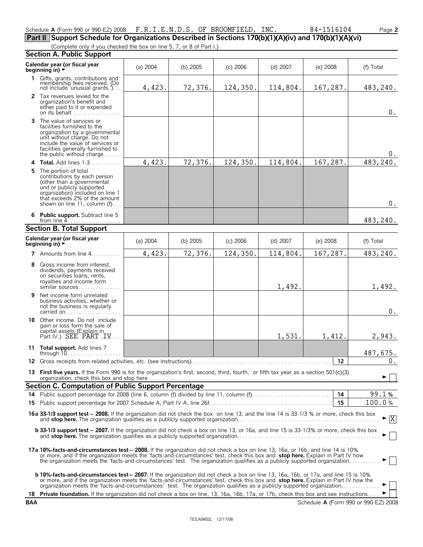| Schedule A (Form 990 or 990-EZ) 2008 $\,$ F.R.I.E.N.D.S. OF BROOMFIELD, INC. |  |  |
|------------------------------------------------------------------------------|--|--|

0.

 $0_{\cdot}$ 

| Schedule A (Form 990 or 990-EZ) 2008 F.R.I.E.N.D.S. OF BROOMFIELD, INC.                                              |          |            |            |          | 84-1516104 | Page 2    |  |  |
|----------------------------------------------------------------------------------------------------------------------|----------|------------|------------|----------|------------|-----------|--|--|
| Part II Support Schedule for Organizations Described in Sections 170(b)(1)(A)(iv) and 170(b)(1)(A)(vi)               |          |            |            |          |            |           |  |  |
| (Complete only if you checked the box on line 5, 7, or 8 of Part I.)                                                 |          |            |            |          |            |           |  |  |
| <b>Section A. Public Support</b>                                                                                     |          |            |            |          |            |           |  |  |
| Calendar year (or fiscal year<br>beginning in) $\rightarrow$                                                         | (a) 2004 | (b) $2005$ | $(c)$ 2006 | (d) 2007 | $(e)$ 2008 | (f) Total |  |  |
| Gifts, grants, contributions and<br>membership fees received. (Do<br>not include 'unusual grants.')                  | 4,423.   | 72, 376.   | 124,350.   | 114,804. | 167,287.   | 483,240.  |  |  |
| <b>2</b> Tax revenues levied for the<br>organization's benefit and<br>either paid to it or expended<br>on its behalf |          |            |            |          |            | 0.        |  |  |
| The value of services or<br>facilities furnished to the                                                              |          |            |            |          |            |           |  |  |

4,423. 72,376. 124,350. 114,804. 167,287. 483,240.

483,240.

## **Section B. Total Support**

from line 4.

**5** The portion of total

organization by a governmental unit without charge. Do not include the value of services or facilities generally furnished to the public without charge . . . . . . **4 Total.** Add lines 1-3. . . . . . . . . . .

contributions by each person (other than a governmental unit or publicly supported organization) included on line 1 that exceeds 2% of the amount shown on line 11, column (f)... **6 Public support.** Subtract line 5

| JECUUII D. TULAI JUPPUIT                                                                                                                                                                                                                                                                                                                                                                                    |          |            |            |            |            |                                 |
|-------------------------------------------------------------------------------------------------------------------------------------------------------------------------------------------------------------------------------------------------------------------------------------------------------------------------------------------------------------------------------------------------------------|----------|------------|------------|------------|------------|---------------------------------|
| Calendar year (or fiscal year<br>beginning in) ►                                                                                                                                                                                                                                                                                                                                                            | (a) 2004 | (b) $2005$ | $(c)$ 2006 | $(d)$ 2007 | $(e)$ 2008 | (f) Total                       |
| 7 Amounts from line $4, \ldots, \ldots$                                                                                                                                                                                                                                                                                                                                                                     | 4,423.   | 72,376.    | 124,350.   | 114,804.   | 167,287.   | 483,240.                        |
| 8 Gross income from interest.<br>dividends, payments received<br>on securities loans, rents,<br>royalties and income form<br>similar sources                                                                                                                                                                                                                                                                |          |            |            | 1,492.     |            | 1,492.                          |
| 9 Net income form unrelated<br>business activities, whether or<br>not the business is regularly<br>carried on $\ldots$ , $\ldots$ , $\ldots$                                                                                                                                                                                                                                                                |          |            |            |            |            | $0$ .                           |
| 10 Other income. Do not include<br>gain or loss form the sale of<br>capital assets (Explain in<br>Part IV.). SEE. PART. IV                                                                                                                                                                                                                                                                                  |          |            |            | 1,531.     | 1,412.     | 2,943.                          |
| 11 Total support. Add lines 7<br>through $10, \ldots, \ldots, \ldots, \ldots$                                                                                                                                                                                                                                                                                                                               |          |            |            |            |            | 487,675.                        |
|                                                                                                                                                                                                                                                                                                                                                                                                             |          |            |            |            |            | 0.                              |
| 13 First five years. If the Form 990 is for the organization's first, second, third, fourth, or fifth tax year as a section 501(c)(3)                                                                                                                                                                                                                                                                       |          |            |            |            |            |                                 |
| Section C. Computation of Public Support Percentage                                                                                                                                                                                                                                                                                                                                                         |          |            |            |            |            |                                 |
|                                                                                                                                                                                                                                                                                                                                                                                                             |          |            |            |            |            | 99.1%                           |
|                                                                                                                                                                                                                                                                                                                                                                                                             |          |            |            |            |            | 100.0%                          |
| 16a 33-1/3 support test - 2008. If the organization did not check the box on line 13, and the line 14 is 33-1/3 % or more, check this box                                                                                                                                                                                                                                                                   |          |            |            |            |            | $\blacktriangleright$ $\vert$ X |
| <b>b 33-1/3 support test - 2007.</b> If the organization did not check a box on line 13, or 16a, and line 15 is 33-1/3% or more, check this box                                                                                                                                                                                                                                                             |          |            |            |            |            |                                 |
| 17a 10%-facts-and-circumstances test - 2008. If the organization did not check a box on line 13, 16a, or 16b, and line 14 is 10%<br>or more, and if the organization meets the 'facts-and-circumstances' test, check this box and stop here. Explain in Part IV how<br>the organization meets the 'facts-and-circumstances' test. The organization qualifies as a publicly supported organization           |          |            |            |            |            |                                 |
| <b>b 10%-facts-and-circumstances test - 2007.</b> If the organization did not check a box on line 13, 16a, 16b, or 17a, and line 15 is 10%<br>or more, and if the organization meets the 'facts-and-circumstances' test, check this box and stop here. Explain in Part IV how the<br>organization meets the 'facts-and-circumstances' test. The organization qualifies as a publicly supported organization |          |            |            |            |            |                                 |
|                                                                                                                                                                                                                                                                                                                                                                                                             |          |            |            |            |            |                                 |

18 **Private foundation.** If the organization did not check a box on line, 13, 16a, 16b, 17a, or 17b, check this box and see instructions . . .  $\blacktriangleright$  $\overline{\phantom{a}}$ **BAA** Schedule **A** (Form 990 or 990-EZ) 2008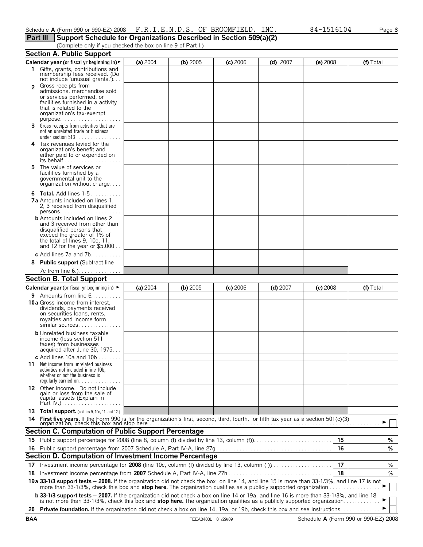| Schedule $A$ (Form 990 or 990-EZ) 2008 $F.R.I.E.N.D.S.$ OF BROOMFIELD, INC. |  | 84-1516104 | Page 3 |
|-----------------------------------------------------------------------------|--|------------|--------|
| Part III Support Schedule for Organizations Described in Section 509(a)(2)  |  |            |        |

(Complete only if you checked the box on line 9 of Part I.)

|               | <b>Section A. Public Support</b>                                                                                                                                                                                                                                          |          |            |            |            |            |    |           |
|---------------|---------------------------------------------------------------------------------------------------------------------------------------------------------------------------------------------------------------------------------------------------------------------------|----------|------------|------------|------------|------------|----|-----------|
|               | Calendar year (or fiscal yr beginning in) ►                                                                                                                                                                                                                               | (a) 2004 | (b) 2005   | $(c)$ 2006 | $(d)$ 2007 | $(e)$ 2008 |    | (f) Total |
|               | 1 Gifts, grants, contributions and<br>membership fees received. (Do<br>not include 'unusual grants.')                                                                                                                                                                     |          |            |            |            |            |    |           |
| $\mathcal{P}$ | Gross receipts from<br>admissions, merchandise sold<br>or services performed, or<br>facilities furnished in a activity<br>that is related to the<br>organization's tax-exempt                                                                                             |          |            |            |            |            |    |           |
|               | purpose<br>3 Gross receipts from activities that are<br>not an unrelated trade or business<br>under section $513$                                                                                                                                                         |          |            |            |            |            |    |           |
|               | 4 Tax revenues levied for the<br>organization's benefit and<br>either paid to or expended on<br>its behalf $\ldots$ , $\ldots$ , $\ldots$ , $\ldots$ , $\ldots$                                                                                                           |          |            |            |            |            |    |           |
| 5.            | The value of services or<br>facilities furnished by a<br>governmental unit to the<br>organization without charge                                                                                                                                                          |          |            |            |            |            |    |           |
|               | <b>6 Total.</b> Add lines 1-5.<br>7a Amounts included on lines 1.<br>2, 3 received from disqualified<br>$persons.$                                                                                                                                                        |          |            |            |            |            |    |           |
|               | <b>b</b> Amounts included on lines 2<br>and 3 received from other than<br>disqualified persons that<br>exceed the greater of 1% of<br>the total of lines 9, 10c, 11,<br>and 12 for the year or $$5,000$                                                                   |          |            |            |            |            |    |           |
|               | c Add lines $7a$ and $7b$                                                                                                                                                                                                                                                 |          |            |            |            |            |    |           |
|               | 8 Public support (Subtract line                                                                                                                                                                                                                                           |          |            |            |            |            |    |           |
|               | 7c from line 6.). <u>.</u>                                                                                                                                                                                                                                                |          |            |            |            |            |    |           |
|               | <b>Section B. Total Support</b>                                                                                                                                                                                                                                           |          |            |            |            |            |    |           |
|               | <b>Calendar year</b> (or fiscal yr beginning in) ►                                                                                                                                                                                                                        | (a) 2004 | $(b)$ 2005 | $(c)$ 2006 | $(d)$ 2007 | $(e)$ 2008 |    | (f) Total |
|               | <b>9</b> Amounts from line $6, 1, 1, 1, 1, 1$                                                                                                                                                                                                                             |          |            |            |            |            |    |           |
|               | <b>10a</b> Gross income from interest,<br>dividends, payments received<br>on securities loans, rents,<br>rovalties and income form<br>similar sources                                                                                                                     |          |            |            |            |            |    |           |
|               | <b>b</b> Unrelated business taxable<br>income (less section 511<br>taxes) from businesses<br>acquired after June 30, 1975                                                                                                                                                 |          |            |            |            |            |    |           |
| 11.           | c Add lines 10a and 10b $\dots\dots$<br>Net income from unrelated business<br>activities not included inline 10b,<br>whether or not the business is                                                                                                                       |          |            |            |            |            |    |           |
|               | 12 Other income. Do not include<br>gain or loss from the sale of<br>čapital assets (Explain in                                                                                                                                                                            |          |            |            |            |            |    |           |
|               | 13 Total support. (add Ins 9, 10c, 11, and 12.)                                                                                                                                                                                                                           |          |            |            |            |            |    |           |
| 14            |                                                                                                                                                                                                                                                                           |          |            |            |            |            |    |           |
|               |                                                                                                                                                                                                                                                                           |          |            |            |            |            |    |           |
|               | <b>Section C. Computation of Public Support Percentage</b>                                                                                                                                                                                                                |          |            |            |            |            |    |           |
|               |                                                                                                                                                                                                                                                                           |          |            |            |            |            | 15 | %         |
|               |                                                                                                                                                                                                                                                                           |          |            |            |            |            | 16 | %         |
|               | Section D. Computation of Investment Income Percentage                                                                                                                                                                                                                    |          |            |            |            |            |    |           |
|               | 17 Investment income percentage for 2008 (line 10c, column (f) divided by line 13, column (f)                                                                                                                                                                             |          |            |            |            |            | 17 | %         |
|               |                                                                                                                                                                                                                                                                           |          |            |            |            |            | 18 | %         |
|               | 19a 33-1/3 support tests - 2008. If the organization did not check the box on line 14, and line 15 is more than 33-1/3%, and line 17 is not<br>more than 33-1/3%, check this box and stop here. The organization qualifies as a publicly supported organization           |          |            |            |            |            |    |           |
|               | <b>b 33-1/3 support tests - 2007.</b> If the organization did not check a box on line 14 or 19a, and line 16 is more than 33-1/3%, and line 18<br>is not more than 33-1/3%, check this box and stop here. The organization qualifies as a publicly supported organization |          |            |            |            |            |    |           |
|               | 20 Private foundation. If the organization did not check a box on line 14, 19a, or 19b, check this box and see instructions                                                                                                                                               |          |            |            |            |            |    |           |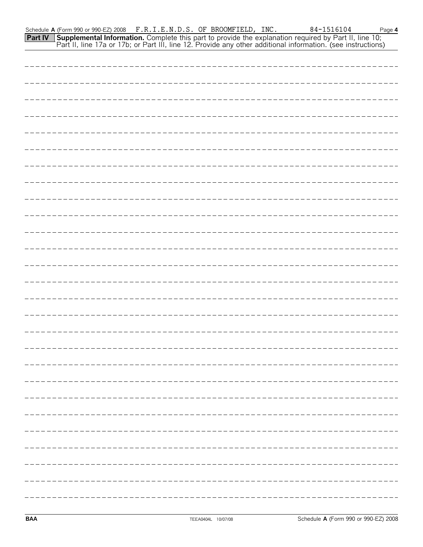|  |  | Part II, line 17a or 17b; or Part III, line 12. Provide any other additional information. (see instructions) |  |
|--|--|--------------------------------------------------------------------------------------------------------------|--|
|  |  |                                                                                                              |  |
|  |  |                                                                                                              |  |
|  |  |                                                                                                              |  |
|  |  |                                                                                                              |  |
|  |  |                                                                                                              |  |
|  |  |                                                                                                              |  |
|  |  |                                                                                                              |  |
|  |  |                                                                                                              |  |
|  |  |                                                                                                              |  |
|  |  |                                                                                                              |  |
|  |  |                                                                                                              |  |
|  |  |                                                                                                              |  |
|  |  |                                                                                                              |  |
|  |  |                                                                                                              |  |
|  |  |                                                                                                              |  |
|  |  |                                                                                                              |  |
|  |  |                                                                                                              |  |
|  |  |                                                                                                              |  |
|  |  |                                                                                                              |  |
|  |  |                                                                                                              |  |
|  |  |                                                                                                              |  |
|  |  |                                                                                                              |  |
|  |  |                                                                                                              |  |
|  |  |                                                                                                              |  |
|  |  |                                                                                                              |  |
|  |  |                                                                                                              |  |
|  |  |                                                                                                              |  |
|  |  |                                                                                                              |  |

Schedule **A** (Form 990 or 990-EZ) 2008 F.R.I.E.N.D.S. OF BROOMFIELD, INC. 84-1516104 Page 4

**Supplemental Information.** Complete this part to provide the explanation required by Part II, line 10;

**Part IV**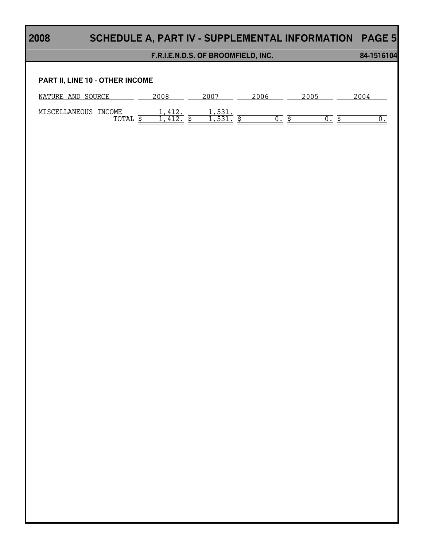|                                         | F.R.I.E.N.D.S. OF BROOMFIELD, INC. |                          |     |      |     |                  |
|-----------------------------------------|------------------------------------|--------------------------|-----|------|-----|------------------|
| PART II, LINE 10 - OTHER INCOME         |                                    |                          |     |      |     |                  |
| NATURE AND SOURCE                       |                                    | $2007 - 2006$            |     | 2005 |     | 2004             |
| MISCELLANEOUS INCOME<br>TOTAL <u>\$</u> | $\frac{1,412}{1,412}$ \$           | $\frac{1,531}{1,531}$ \$ | 0.5 |      | 0.5 | $\overline{0}$ . |
|                                         |                                    |                          |     |      |     |                  |
|                                         |                                    |                          |     |      |     |                  |
|                                         |                                    |                          |     |      |     |                  |
|                                         |                                    |                          |     |      |     |                  |
|                                         |                                    |                          |     |      |     |                  |
|                                         |                                    |                          |     |      |     |                  |
|                                         |                                    |                          |     |      |     |                  |
|                                         |                                    |                          |     |      |     |                  |
|                                         |                                    |                          |     |      |     |                  |
|                                         |                                    |                          |     |      |     |                  |
|                                         |                                    |                          |     |      |     |                  |
|                                         |                                    |                          |     |      |     |                  |
|                                         |                                    |                          |     |      |     |                  |
|                                         |                                    |                          |     |      |     |                  |
|                                         |                                    |                          |     |      |     |                  |
|                                         |                                    |                          |     |      |     |                  |
|                                         |                                    |                          |     |      |     |                  |
|                                         |                                    |                          |     |      |     |                  |
|                                         |                                    |                          |     |      |     |                  |
|                                         |                                    |                          |     |      |     |                  |
|                                         |                                    |                          |     |      |     |                  |
|                                         |                                    |                          |     |      |     |                  |
|                                         |                                    |                          |     |      |     |                  |
|                                         |                                    |                          |     |      |     |                  |
|                                         |                                    |                          |     |      |     |                  |

Г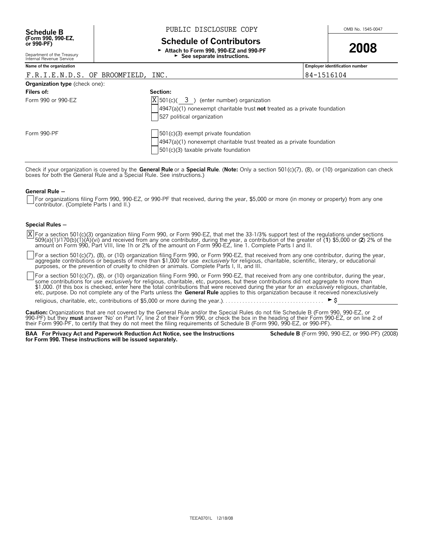## **Schedule B**  $\overline{B}$  **PUBLIC DISCLOSURE COPY**  $\overline{O}$   $\overline{O}$   $\overline{O}$   $\overline{O}$   $\overline{O}$   $\overline{O}$   $\overline{O}$   $\overline{O}$   $\overline{O}$   $\overline{O}$   $\overline{O}$   $\overline{O}$   $\overline{O}$   $\overline{O}$   $\overline{O}$   $\overline{O}$   $\overline{O}$   $\overline{O}$   $\overline{O}$   $\overline$

## **Schedule of Contributors**

G **Attach to Form 990, 990-EZ and 990-PF** ► See separate instructions.



Department of the Treasury Internal Revenue Service

## **Name of the organization Employer identification number**

## F.R.I.E.N.D.S. OF BROOMFIELD, INC.  $|84-1516104$

| <b>Organization type</b> (check one): |                                                                                                                                                                |
|---------------------------------------|----------------------------------------------------------------------------------------------------------------------------------------------------------------|
| Filers of:                            | Section:                                                                                                                                                       |
| Form 990 or 990-EZ                    | $ X $ 501(c)( 3) (enter number) organization                                                                                                                   |
|                                       | $4947(a)(1)$ nonexempt charitable trust not treated as a private foundation<br>527 political organization                                                      |
| Form 990-PF                           | $\vert$ 501(c)(3) exempt private foundation<br>$4947(a)(1)$ nonexempt charitable trust treated as a private foundation<br>501(c)(3) taxable private foundation |

Check if your organization is covered by the **General Rule** or a **Special Rule**. (**Note:** Only a section 501(c)(7), (8), or (10) organization can check<br>boxes for both the General Rule and a Special Rule. See instructions.)

#### **General Rule -**

For organizations filing Form 990, 990-EZ, or 990-PF that received, during the year, \$5,000 or more (in money or property) from any one contributor. (Complete Parts I and II.)

### **Special Rules -**

For a section 501(c)(3) organization filing Form 990, or Form 990-EZ, that met the 33-1/3% support test of the regulations under sections X For a section 501(c)(3) organization filing Form 990, or Form 990-EZ, that met the 33-1/3% support test of the regulations under sections<br>509(a)(1)/170(b)(1)(A)(vi) and received from any one contributor, during the year, amount on Form 990, Part VIII, line 1h or 2% of the amount on Form 990-EZ, line 1. Complete Parts I and II.

For a section 501(c)(7), (8), or (10) organization filing Form 990, or Form 990-EZ, that received from any one contributor, during the year, aggregate contributions or bequests of more than \$1,000 for use *exclusively* for religious, charitable, scientific, literary, or educational purposes, or the prevention of cruelty to children or animals. Complete Parts I, II, and III.

For a section 501(c)(7), (8), or (10) organization filing Form 990, or Form 990-EZ, that received from any one contributor, during the year, some contributions for use *exclusively* for religious, charitable, etc, purposes, but these contributions did not aggregate to more than<br>\$1,000. (If this box is checked, enter here the total contributions that were receiv

religious, charitable, etc, contributions of \$5,000 or more during the year.). . . . . . . . . . . .

**Caution:** Organizations that are not covered by the General Rule and/or the Special Rules do not file Schedule B (Form 990, 990-EZ, or 990-PF) but they **must** answer 'No' on Part IV, line 2 of their Form 990, or check the box in the heading of their Form 990-EZ, or on line 2 of<br>their Form 990-PF, to certify that they do not meet the filing requirements of

**BAA For Privacy Act and Paperwork Reduction Act Notice, see the Instructions for Form 990. These instructions will be issued separately.**

**Schedule B** (Form 990, 990-EZ, or 990-PF) (2008)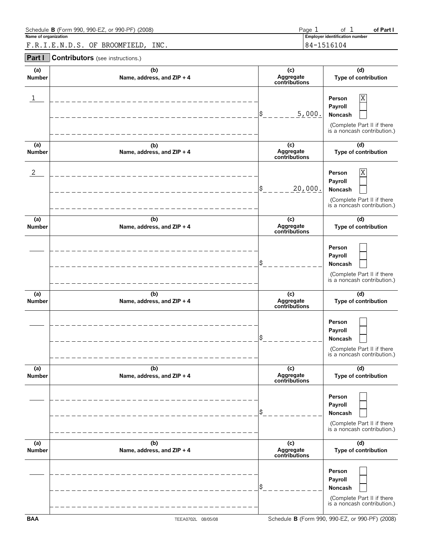| Schedule <b>B</b> (Form 990, 990-EZ, or 990-PF) (2008) | Page | ΩŤ                             | of Part |
|--------------------------------------------------------|------|--------------------------------|---------|
| Name of organization                                   |      | Employer identification number |         |
| INC.<br>OF BROOMFIELD.<br>F.R.I.E.N.D.S.               |      | 84-1516104                     |         |

**Part I Contributors** (see instructions.)

| (a)            | (b)                        | (c)                        | (d)                                                                                            |
|----------------|----------------------------|----------------------------|------------------------------------------------------------------------------------------------|
| <b>Number</b>  | Name, address, and ZIP + 4 | Aggregate<br>contributions | Type of contribution                                                                           |
| 1              |                            | 5,000.<br>\$               | Χ<br>Person<br>Payroll<br>Noncash<br>(Complete Part II if there<br>is a noncash contribution.) |
| (a)            | (b)                        | (c)                        | (d)                                                                                            |
| <b>Number</b>  | Name, address, and ZIP + 4 | Aggregate<br>contributions | Type of contribution                                                                           |
| $\overline{c}$ |                            | 20,000.<br>\$              | Χ<br>Person<br>Payroll<br>Noncash<br>(Complete Part II if there<br>is a noncash contribution.) |
| (a)            | (b)                        | (c)                        | (d)                                                                                            |
| <b>Number</b>  | Name, address, and ZIP + 4 | Aggregate<br>contributions | Type of contribution                                                                           |
|                |                            |                            | Person<br>Payroll<br>Noncash<br>(Complete Part II if there<br>is a noncash contribution.)      |
| (a)            | (b)                        | (c)                        | (d)                                                                                            |
| <b>Number</b>  | Name, address, and ZIP + 4 | Aggregate<br>contributions | Type of contribution                                                                           |
|                |                            |                            | Person<br>Payroll<br>Noncash<br>(Complete Part II if there<br>is a noncash contribution.)      |
| (a)            | (b)                        | (c)                        | (d)                                                                                            |
| <b>Number</b>  | Name, address, and ZIP + 4 | Aggregate<br>contributions | Type of contribution                                                                           |
|                |                            |                            | Person<br>Payroll<br>Noncash<br>(Complete Part II if there<br>is a noncash contribution.)      |
| (a)            | (b)                        | (c)                        | (d)                                                                                            |
| <b>Number</b>  | Name, address, and ZIP + 4 | Aggregate<br>contributions | Type of contribution                                                                           |
|                |                            |                            | Person<br>Payroll<br>Noncash<br>(Complete Part II if there<br>is a noncash contribution.)      |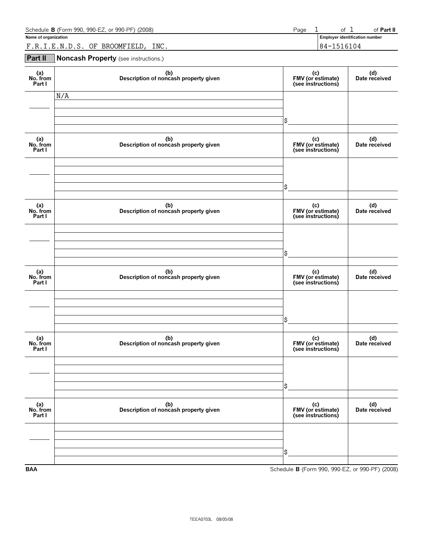| Schedule <b>B</b> (Form 990, 990-EZ, or 990-PF) (2008) | Page |        | Ωt    | ਾਂ Part ⊪                      |
|--------------------------------------------------------|------|--------|-------|--------------------------------|
| Name of organization                                   |      |        |       | Employer identification number |
| INC.<br>BROOMFIELD.<br>F.R.I.E.N.D.S.<br>OF            |      | $84 -$ | -6104 |                                |

## **Part II Noncash Property** (see instructions.)

| (a)<br>No. from<br>Part I | (b)<br>Description of noncash property given | (c)<br>FMV (or estimate)<br>(see instructions)  | (d)<br>Date received |
|---------------------------|----------------------------------------------|-------------------------------------------------|----------------------|
|                           | N/A                                          | \$                                              |                      |
| (a)<br>No. from<br>Part I | (b)<br>Description of noncash property given | (c)<br>FMV (or estimate)<br>(see instructions)  | (d)<br>Date received |
|                           |                                              | \$                                              |                      |
| (a)<br>No. from<br>Part I | (b)<br>Description of noncash property given | (c)<br>FMV (or estimate)<br>(see instructions)  | (d)<br>Date received |
|                           |                                              | \$                                              |                      |
| (a)<br>No. from<br>Part I | (b)<br>Description of noncash property given | (c)<br>FMV (or estimate)<br>(see instructions)  | (d)<br>Date received |
|                           |                                              | \$                                              |                      |
| (a)<br>No. from<br>Part I | (b)<br>Description of noncash property given | (c)<br>FMV (or estimate)<br>(see instructions)  | (d)<br>Date received |
|                           |                                              | \$                                              |                      |
| (a)<br>No. from<br>Part I | (b)<br>Description of noncash property given | (c)<br>FMV (or estimate)<br>(see instructions)  | (d)<br>Date received |
|                           |                                              | \$                                              |                      |
| <b>BAA</b>                |                                              | Schedule B (Form 990, 990-EZ, or 990-PF) (2008) |                      |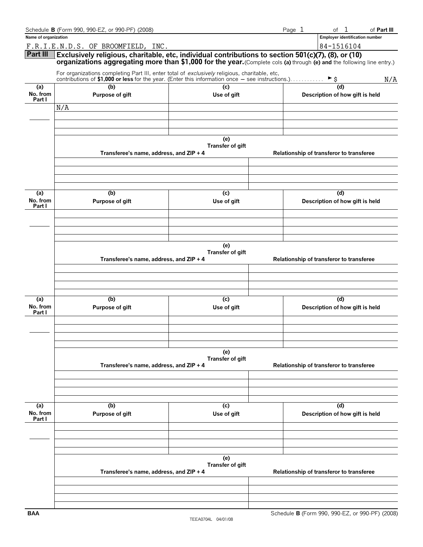|                           | Schedule B (Form 990, 990-EZ, or 990-PF) (2008)                                                                                                                                                                                |                                          |                                          | Page 1                                 | of 1                                  | of Part III |  |  |  |  |  |  |
|---------------------------|--------------------------------------------------------------------------------------------------------------------------------------------------------------------------------------------------------------------------------|------------------------------------------|------------------------------------------|----------------------------------------|---------------------------------------|-------------|--|--|--|--|--|--|
| Name of organization      |                                                                                                                                                                                                                                |                                          |                                          |                                        | <b>Employer identification number</b> |             |  |  |  |  |  |  |
|                           | F.R.I.E.N.D.S. OF BROOMFIELD, INC.                                                                                                                                                                                             |                                          |                                          |                                        | 84-1516104                            |             |  |  |  |  |  |  |
| Part III                  | Exclusively religious, charitable, etc, individual contributions to section 501(c)(7), (8), or (10)<br>organizations aggregating more than \$1,000 for the year. (Complete cols (a) through (e) and the following line entry.) |                                          |                                          |                                        |                                       |             |  |  |  |  |  |  |
|                           | For organizations completing Part III, enter total of exclusively religious, charitable, etc,<br>contributions of \$1,000 or less for the year. (Enter this information once $-$ see instructions.)                            | (c)                                      |                                          |                                        | $\blacktriangleright$ \$              | N/A         |  |  |  |  |  |  |
| (a)<br>No. from           | (b)<br>Purpose of gift                                                                                                                                                                                                         |                                          |                                          | (d)                                    |                                       |             |  |  |  |  |  |  |
| Part I                    | N/A                                                                                                                                                                                                                            | Use of gift                              | Description of how gift is held          |                                        |                                       |             |  |  |  |  |  |  |
|                           |                                                                                                                                                                                                                                |                                          |                                          |                                        |                                       |             |  |  |  |  |  |  |
|                           |                                                                                                                                                                                                                                |                                          |                                          |                                        |                                       |             |  |  |  |  |  |  |
|                           | (e)<br>Transfer of gift<br>Transferee's name, address, and ZIP + 4<br>Relationship of transferor to transferee                                                                                                                 |                                          |                                          |                                        |                                       |             |  |  |  |  |  |  |
|                           |                                                                                                                                                                                                                                |                                          |                                          |                                        |                                       |             |  |  |  |  |  |  |
| (a)                       | (b)                                                                                                                                                                                                                            | (c)                                      |                                          |                                        | (d)                                   |             |  |  |  |  |  |  |
| No. from<br>Part I        | Purpose of gift                                                                                                                                                                                                                | Use of gift                              |                                          |                                        | Description of how gift is held       |             |  |  |  |  |  |  |
|                           |                                                                                                                                                                                                                                |                                          |                                          |                                        |                                       |             |  |  |  |  |  |  |
|                           |                                                                                                                                                                                                                                |                                          |                                          |                                        |                                       |             |  |  |  |  |  |  |
|                           |                                                                                                                                                                                                                                | (e)<br>Transfer of gift                  | Relationship of transferor to transferee |                                        |                                       |             |  |  |  |  |  |  |
|                           | Transferee's name, address, and ZIP + 4                                                                                                                                                                                        |                                          |                                          |                                        |                                       |             |  |  |  |  |  |  |
|                           |                                                                                                                                                                                                                                |                                          |                                          |                                        |                                       |             |  |  |  |  |  |  |
| (a)<br>No. from<br>Part I | (b)<br>Purpose of gift                                                                                                                                                                                                         | (c)<br>Use of gift                       |                                          | (d)<br>Description of how gift is held |                                       |             |  |  |  |  |  |  |
|                           |                                                                                                                                                                                                                                |                                          |                                          |                                        |                                       |             |  |  |  |  |  |  |
|                           | Transferee's name, address, and ZIP + 4                                                                                                                                                                                        | (e)<br>Transfer of gift                  | Relationship of transferor to transferee |                                        |                                       |             |  |  |  |  |  |  |
|                           |                                                                                                                                                                                                                                |                                          |                                          |                                        |                                       |             |  |  |  |  |  |  |
|                           |                                                                                                                                                                                                                                |                                          |                                          |                                        |                                       |             |  |  |  |  |  |  |
| (a)<br>No. from<br>Part I | (b)<br>Purpose of gift                                                                                                                                                                                                         | (c)<br>Use of gift                       |                                          | Description of how gift is held        |                                       |             |  |  |  |  |  |  |
|                           |                                                                                                                                                                                                                                |                                          |                                          |                                        |                                       |             |  |  |  |  |  |  |
|                           |                                                                                                                                                                                                                                |                                          |                                          |                                        |                                       |             |  |  |  |  |  |  |
|                           | Transferee's name, address, and ZIP + 4                                                                                                                                                                                        | Relationship of transferor to transferee |                                          |                                        |                                       |             |  |  |  |  |  |  |
|                           |                                                                                                                                                                                                                                |                                          |                                          |                                        |                                       |             |  |  |  |  |  |  |
|                           |                                                                                                                                                                                                                                |                                          |                                          |                                        |                                       |             |  |  |  |  |  |  |
|                           |                                                                                                                                                                                                                                |                                          |                                          |                                        |                                       |             |  |  |  |  |  |  |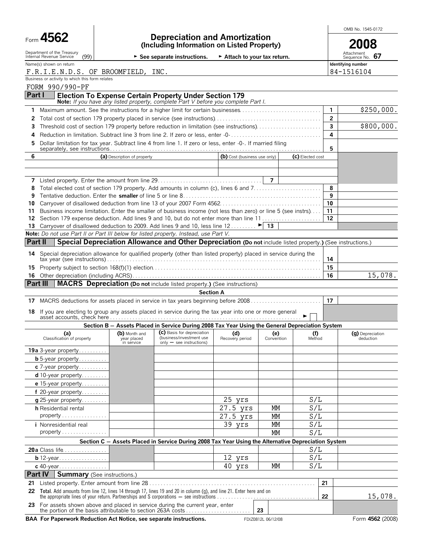|                                                                                                                    |                                    |                                                                                                                                                                      |                              |                   |                  |              | OMB No. 1545-0172             |  |  |  |
|--------------------------------------------------------------------------------------------------------------------|------------------------------------|----------------------------------------------------------------------------------------------------------------------------------------------------------------------|------------------------------|-------------------|------------------|--------------|-------------------------------|--|--|--|
| Form 4562                                                                                                          |                                    | <b>Depreciation and Amortization</b><br>(Including Information on Listed Property)                                                                                   |                              |                   |                  |              |                               |  |  |  |
| Department of the Treasury<br>Internal Revenue Service<br>(99)                                                     |                                    | $\triangleright$ See separate instructions.                                                                                                                          | Attach to your tax return.   |                   |                  |              | Attachment<br>Sequence No. 67 |  |  |  |
| Name(s) shown on return                                                                                            |                                    |                                                                                                                                                                      |                              |                   |                  |              | Identifying number            |  |  |  |
| F.R.I.E.N.D.S. OF BROOMFIELD, INC.<br>Business or activity to which this form relates                              |                                    |                                                                                                                                                                      |                              |                   |                  |              | 84-1516104                    |  |  |  |
| FORM 990/990-PF                                                                                                    |                                    |                                                                                                                                                                      |                              |                   |                  |              |                               |  |  |  |
| Part I                                                                                                             |                                    | <b>Election To Expense Certain Property Under Section 179</b>                                                                                                        |                              |                   |                  |              |                               |  |  |  |
| 1                                                                                                                  |                                    | Note: If you have any listed property, complete Part V before you complete Part I.<br>Maximum amount. See the instructions for a higher limit for certain businesses |                              |                   |                  | $\mathbf{1}$ | \$250,000.                    |  |  |  |
| 2                                                                                                                  |                                    |                                                                                                                                                                      |                              |                   |                  | $\mathbf{2}$ |                               |  |  |  |
| 3                                                                                                                  |                                    | Threshold cost of section 179 property before reduction in limitation (see instructions)                                                                             |                              |                   |                  | 3            | \$800,000.                    |  |  |  |
| 4                                                                                                                  |                                    | Reduction in limitation. Subtract line 3 from line 2. If zero or less, enter -0-                                                                                     |                              |                   |                  | 4            |                               |  |  |  |
| 5                                                                                                                  |                                    | Dollar limitation for tax year. Subtract line 4 from line 1. If zero or less, enter -0-. If married filing                                                           |                              |                   |                  | 5            |                               |  |  |  |
| 6                                                                                                                  | (a) Description of property        |                                                                                                                                                                      | (b) Cost (business use only) |                   | (c) Elected cost |              |                               |  |  |  |
|                                                                                                                    |                                    |                                                                                                                                                                      |                              |                   |                  |              |                               |  |  |  |
|                                                                                                                    |                                    |                                                                                                                                                                      |                              |                   |                  |              |                               |  |  |  |
|                                                                                                                    |                                    |                                                                                                                                                                      |                              |                   |                  | 8            |                               |  |  |  |
| 8<br>9                                                                                                             |                                    |                                                                                                                                                                      |                              |                   |                  | 9            |                               |  |  |  |
| 10                                                                                                                 |                                    |                                                                                                                                                                      |                              |                   |                  | 10           |                               |  |  |  |
| 11                                                                                                                 |                                    | Business income limitation. Enter the smaller of business income (not less than zero) or line 5 (see instrs)                                                         |                              |                   |                  | 11           |                               |  |  |  |
| 12                                                                                                                 |                                    | Section 179 expense deduction. Add lines 9 and 10, but do not enter more than line 11                                                                                |                              |                   |                  | 12           |                               |  |  |  |
| 13<br>Note: Do not use Part II or Part III below for listed property. Instead, use Part V.                         |                                    | Carryover of disallowed deduction to 2009. Add lines 9 and 10, less line $12$ $\blacktriangleright$ 13                                                               |                              |                   |                  |              |                               |  |  |  |
| Part II                                                                                                            |                                    | Special Depreciation Allowance and Other Depreciation (Do not include listed property.) (See instructions.)                                                          |                              |                   |                  |              |                               |  |  |  |
| 14 Special depreciation allowance for qualified property (other than listed property) placed in service during the |                                    |                                                                                                                                                                      |                              |                   |                  |              |                               |  |  |  |
|                                                                                                                    |                                    |                                                                                                                                                                      |                              |                   |                  | 14           |                               |  |  |  |
| 15                                                                                                                 |                                    |                                                                                                                                                                      |                              |                   |                  | 15           |                               |  |  |  |
|                                                                                                                    |                                    |                                                                                                                                                                      |                              |                   |                  | 16           | 15,078.                       |  |  |  |
| Part III                                                                                                           |                                    | MACRS Depreciation (Do not include listed property.) (See instructions)<br><b>Section A</b>                                                                          |                              |                   |                  |              |                               |  |  |  |
| 17 MACRS deductions for assets placed in service in tax years beginning before 2008                                |                                    |                                                                                                                                                                      |                              |                   |                  | 17           |                               |  |  |  |
| 18 If you are electing to group any assets placed in service during the tax year into one or more general          |                                    |                                                                                                                                                                      |                              |                   |                  |              |                               |  |  |  |
|                                                                                                                    |                                    |                                                                                                                                                                      |                              |                   |                  |              |                               |  |  |  |
|                                                                                                                    |                                    | Section B - Assets Placed in Service During 2008 Tax Year Using the General Depreciation System                                                                      |                              |                   |                  |              |                               |  |  |  |
| (a)<br>Classification of property                                                                                  | year placed<br>in service          | (b) Month and (c) Basis for depreciation (d) (d)<br>(business/investment use<br>$only - see$ instructions)                                                           | Recovery period              | (e)<br>Convention | (f)<br>Method    |              | (g) Depreciation<br>deduction |  |  |  |
| 19a 3-year property                                                                                                |                                    |                                                                                                                                                                      |                              |                   |                  |              |                               |  |  |  |
| <b>b</b> 5-year property                                                                                           |                                    |                                                                                                                                                                      |                              |                   |                  |              |                               |  |  |  |
| c 7-year property<br>d 10-year property                                                                            |                                    |                                                                                                                                                                      |                              |                   |                  |              |                               |  |  |  |
| e 15-year property                                                                                                 |                                    |                                                                                                                                                                      |                              |                   |                  |              |                               |  |  |  |
| f 20-year property                                                                                                 |                                    |                                                                                                                                                                      |                              |                   |                  |              |                               |  |  |  |
| g 25-year property                                                                                                 |                                    |                                                                                                                                                                      | 25 yrs                       |                   | S/L              |              |                               |  |  |  |
| <b>h</b> Residential rental                                                                                        |                                    |                                                                                                                                                                      | 27.5 yrs                     | МM                | S/L              |              |                               |  |  |  |
| $property \ldots \ldots \ldots \ldots$                                                                             |                                    |                                                                                                                                                                      | $\overline{27.5}$ yrs        | <b>MM</b>         | S/L              |              |                               |  |  |  |
| <i>i</i> Nonresidential real<br>$property \dots \dots \dots \dots \dots$                                           |                                    |                                                                                                                                                                      | 39 yrs                       | MM<br><b>MM</b>   | S/L<br>S/L       |              |                               |  |  |  |
|                                                                                                                    |                                    | Section C - Assets Placed in Service During 2008 Tax Year Using the Alternative Depreciation System                                                                  |                              |                   |                  |              |                               |  |  |  |
| 20a Class life                                                                                                     |                                    |                                                                                                                                                                      |                              |                   | S/L              |              |                               |  |  |  |
| <b>b</b> 12-year                                                                                                   |                                    |                                                                                                                                                                      | 12 yrs                       |                   | S/L              |              |                               |  |  |  |
| c 40-year                                                                                                          |                                    |                                                                                                                                                                      | 40 yrs                       | <b>MM</b>         | S/L              |              |                               |  |  |  |
| Part IV                                                                                                            | <b>Summary</b> (See instructions.) |                                                                                                                                                                      |                              |                   |                  |              |                               |  |  |  |
| 21                                                                                                                 |                                    |                                                                                                                                                                      |                              |                   |                  | 21           |                               |  |  |  |
| 22                                                                                                                 |                                    | Total. Add amounts from line 12, lines 14 through 17, lines 19 and 20 in column (g), and line 21. Enter here and on                                                  |                              |                   |                  | 22           | 15,078.                       |  |  |  |
| 23 For assets shown above and placed in service during the current year, enter                                     |                                    | the portion of the basis attributable to section 263A costs                                                                                                          |                              | 23                |                  |              |                               |  |  |  |

BAA For Paperwork Reduction Act Notice, see separate instructions. FDIZ0812L 06/12/08 Form 4562 (2008)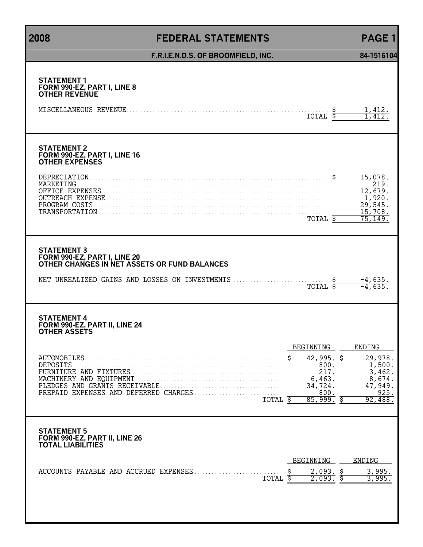# **2008 FEDERAL STATEMENTS PAGE 1**

| F.R.I.E.N.D.S. OF BROOMFIELD, INC.                                                                                                                   |                 |                                                                      | 84-1516104                                                                                                   |
|------------------------------------------------------------------------------------------------------------------------------------------------------|-----------------|----------------------------------------------------------------------|--------------------------------------------------------------------------------------------------------------|
| <b>STATEMENT 1</b><br>FORM 990-EZ, PART I, LINE 8<br><b>OTHER REVENUE</b>                                                                            |                 | TOTAL                                                                | 1,412.<br>1.412                                                                                              |
| <b>STATEMENT 2</b><br>FORM 990-EZ, PART I, LINE 16<br><b>OTHER EXPENSES</b>                                                                          |                 | TOTAL \$                                                             | 15,078.<br>219.<br>12,679.<br>1,920.<br>29,545.<br>15,708.<br>75, 149.                                       |
| <b>STATEMENT 3</b><br>FORM 990-EZ, PART I, LINE 20<br>OTHER CHANGES IN NET ASSETS OR FUND BALANCES<br>NET UNREALIZED GAINS AND LOSSES ON INVESTMENTS |                 | TOTAL                                                                | $-4,635.$<br>$-4,635$                                                                                        |
| <b>STATEMENT 4</b><br>FORM 990-EZ, PART II, LINE 24<br><b>OTHER ASSETS</b>                                                                           |                 |                                                                      |                                                                                                              |
| <b>AUTOMOBILES</b><br>DEPOSITS<br>PLEDGES AND GRANTS RECEIVABLE.<br>TOTAL                                                                            | BEGINNING<br>\$ | $42,995.$ \$<br>800.<br>217.<br>6,463.<br>34,724.<br>800.<br>85,999. | ENDING<br>29,978.<br>1,500.<br>3,462.<br>$\begin{array}{c} 8,674, \\ 47,949. \end{array}$<br>925.<br>92,488. |
| <b>STATEMENT 5</b><br>FORM 990-EZ, PART II, LINE 26<br><b>TOTAL LIABILITIES</b>                                                                      |                 |                                                                      |                                                                                                              |
| TOTAL                                                                                                                                                | BEGINNING       | <u>2,093. \$</u><br>2,093.                                           | ENDING<br>3,995.                                                                                             |
|                                                                                                                                                      |                 |                                                                      |                                                                                                              |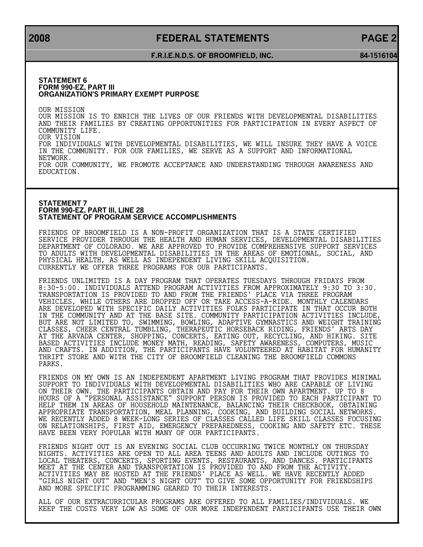## **2008 FEDERAL STATEMENTS PAGE 2**

### **F.R.I.E.N.D.S. OF BROOMFIELD, INC. 84-1516104**

#### **STATEMENT 6 FORM 990-EZ, PART III ORGANIZATION'S PRIMARY EXEMPT PURPOSE**

OUR MISSION OUR MISSION IS TO ENRICH THE LIVES OF OUR FRIENDS WITH DEVELOPMENTAL DISABILITIES AND THEIR FAMILIES BY CREATING OPPORTUNITIES FOR PARTICIPATION IN EVERY ASPECT OF COMMUNITY LIFE. OUR VISION FOR INDIVIDUALS WITH DEVELOPMENTAL DISABILITIES, WE WILL INSURE THEY HAVE A VOICE IN THE COMMUNITY. FOR OUR FAMILIES, WE SERVE AS A SUPPORT AND INFORMATIONAL NETWORK. FOR OUR COMMUNITY, WE PROMOTE ACCEPTANCE AND UNDERSTANDING THROUGH AWARENESS AND EDUCATION.

#### **STATEMENT 7 FORM 990-EZ, PART III, LINE 28 STATEMENT OF PROGRAM SERVICE ACCOMPLISHMENTS**

FRIENDS OF BROOMFIELD IS A NON-PROFIT ORGANIZATION THAT IS A STATE CERTIFIED SERVICE PROVIDER THROUGH THE HEALTH AND HUMAN SERVICES, DEVELOPMENTAL DISABILITIES DEPARTMENT OF COLORADO. WE ARE APPROVED TO PROVIDE COMPREHENSIVE SUPPORT SERVICES TO ADULTS WITH DEVELOPMENTAL DISABILITIES IN THE AREAS OF EMOTIONAL, SOCIAL, AND PHYSICAL HEALTH, AS WELL AS INDEPENDENT LIVING SKILL ACQUISITION. CURRENTLY WE OFFER THREE PROGRAMS FOR OUR PARTICIPANTS.

FRIENDS UNLIMITED IS A DAY PROGRAM THAT OPERATES TUESDAYS THROUGH FRIDAYS FROM 8:30-5:00. INDIVIDUALS ATTEND PROGRAM ACTIVITIES FROM APPROXIMATELY 9:30 TO 3:30. TRANSPORTATION IS PROVIDED TO AND FROM THE FRIENDS' PLACE VIA THREE PROGRAM VEHICLES, WHILE OTHERS ARE DROPPED OFF OR TAKE ACCESS-A-RIDE. MONTHLY CALENDARS ARE DEVELOPED WITH SPECIFIC DAILY ACTIVITIES FOLKS PARTICIPATE IN THAT OCCUR BOTH IN THE COMMUNITY AND AT THE BASE SITE. COMMUNITY PARTICIPATION ACTIVITIES INCLUDE, BUT ARE NOT LIMITED TO, SWIMMING, BOWLING, ADAPTIVE GYMNASTICS AND WEIGHT TRAINING CLASSES, CHEER CENTRAL TUMBLING, THERAPEUTIC HORSEBACK RIDING, FRIENDS' ARTS DAY AT THE ARVADA CENTER, SHOPPING, CONCERTS, EATING OUT, RECYCLING, AND HIKING. SITE BASED ACTIVITIES INCLUDE MONEY MATH, READING, SAFETY AWARENESS, COMPUTERS, MUSIC AND CRAFTS. IN ADDITION, THE PARTICIPANTS HAVE VOLUNTEERED AT HABITAT FOR HUMANITY THRIFT STORE AND WITH THE CITY OF BROOMFIELD CLEANING THE BROOMFIELD COMMONS PARKS.

FRIENDS ON MY OWN IS AN INDEPENDENT APARTMENT LIVING PROGRAM THAT PROVIDES MINIMAL SUPPORT TO INDIVIDUALS WITH DEVELOPMENTAL DISABILITIES WHO ARE CAPABLE OF LIVING ON THEIR OWN. THE PARTICIPANTS OBTAIN AND PAY FOR THEIR OWN APARTMENT. UP TO 8 HOURS OF A "PERSONAL ASSISTANCE" SUPPORT PERSON IS PROVIDED TO EACH PARTICIPANT TO HELP THEM IN AREAS OF HOUSEHOLD MAINTENANCE, BALANCING THEIR CHECKBOOK, OBTAINING APPROPRIATE TRANSPORTATION, MEAL PLANNING, COOKING, AND BUILDING SOCIAL NETWORKS. WE RECENTLY ADDED 8 WEEK-LONG SERIES OF CLASSES CALLED LIFE SKILL CLASSES FOCUSING ON RELATIONSHIPS, FIRST AID, EMERGENCY PREPAREDNESS, COOKING AND SAFETY ETC. THESE HAVE BEEN VERY POPULAR WITH MANY OF OUR PARTICIPANTS.

FRIENDS NIGHT OUT IS AN EVENING SOCIAL CLUB OCCURRING TWICE MONTHLY ON THURSDAY NIGHTS. ACTIVITIES ARE OPEN TO ALL AREA TEENS AND ADULTS AND INCLUDE OUTINGS TO LOCAL THEATERS, CONCERTS, SPORTING EVENTS, RESTAURANTS, AND DANCES. PARTICIPANTS MEET AT THE CENTER AND TRANSPORTATION IS PROVIDED TO AND FROM THE ACTIVITY. ACTIVITIES MAY BE HOSTED AT THE FRIENDS' PLACE AS WELL. WE HAVE RECENTLY ADDED "GIRLS NIGHT OUT" AND "MEN'S NIGHT OUT" TO GIVE SOME OPPORTUNITY FOR FRIENDSHIPS AND MORE SPECIFIC PROGRAMMING GEARED TO THEIR INTERESTS.

ALL OF OUR EXTRACURRICULAR PROGRAMS ARE OFFERED TO ALL FAMILIES/INDIVIDUALS. WE KEEP THE COSTS VERY LOW AS SOME OF OUR MORE INDEPENDENT PARTICIPANTS USE THEIR OWN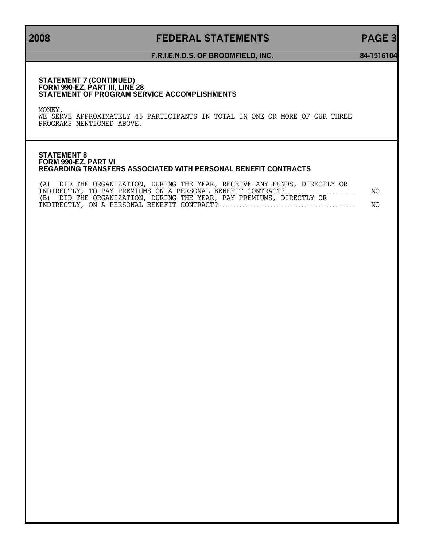# **2008 FEDERAL STATEMENTS PAGE 3**

### **F.R.I.E.N.D.S. OF BROOMFIELD, INC. 84-1516104**

#### **STATEMENT 7 (CONTINUED) FORM 990-EZ, PART III, LINE 28 STATEMENT OF PROGRAM SERVICE ACCOMPLISHMENTS**

MONEY.

WE SERVE APPROXIMATELY 45 PARTICIPANTS IN TOTAL IN ONE OR MORE OF OUR THREE PROGRAMS MENTIONED ABOVE.

### **STATEMENT 8 FORM 990-EZ, PART VI REGARDING TRANSFERS ASSOCIATED WITH PERSONAL BENEFIT CONTRACTS**

| (A) DID THE ORGANIZATION, DURING THE YEAR, RECEIVE ANY FUNDS, DIRECTLY OR |      |
|---------------------------------------------------------------------------|------|
| INDIRECTLY, TO PAY PREMIUMS ON A PERSONAL BENEFIT CONTRACT?               | NO . |
| (B) DID THE ORGANIZATION, DURING THE YEAR, PAY PREMIUMS, DIRECTLY OR      |      |
|                                                                           | NO.  |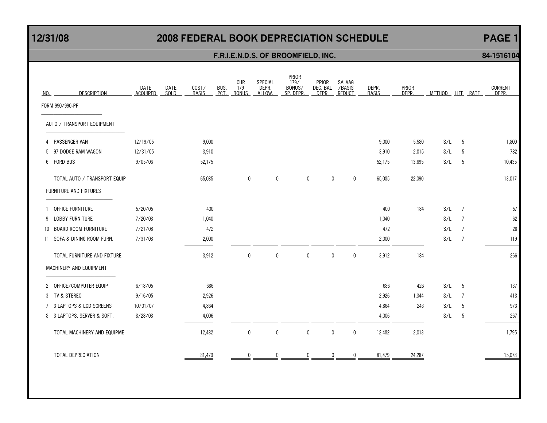# **12/31/08 2008 FEDERAL BOOK DEPRECIATION SCHEDULE PAGE 1**

## **F.R.I.E.N.D.S. OF BROOMFIELD, INC. 84-1516104**

| NO.          | <b>DESCRIPTION</b>           | DATE<br><b>ACQUIRED</b> | DATE<br><b>SOLD</b> | COST/<br><b>BASIS</b> | BUS.<br>PCT. | CUR<br>179<br><b>BONUS</b> | SPECIAL<br>DEPR.<br>ALLOW. | PRIOR<br>179/<br>BONUS/<br>SP. DEPR. | PRIOR<br>DEC. BAL<br>DEPR. |              | SALVAG<br>/BASIS<br>REDUCT | DEPR.<br><b>BASIS</b> | PRIOR<br>DEPR. |     | METHOD LIFE RATE | <b>CURRENT</b><br>DFPR. |
|--------------|------------------------------|-------------------------|---------------------|-----------------------|--------------|----------------------------|----------------------------|--------------------------------------|----------------------------|--------------|----------------------------|-----------------------|----------------|-----|------------------|-------------------------|
|              | FORM 990/990-PF              |                         |                     |                       |              |                            |                            |                                      |                            |              |                            |                       |                |     |                  |                         |
|              | AUTO / TRANSPORT EQUIPMENT   |                         |                     |                       |              |                            |                            |                                      |                            |              |                            |                       |                |     |                  |                         |
| 4            | PASSENGER VAN                | 12/19/05                |                     | 9,000                 |              |                            |                            |                                      |                            |              |                            | 9,000                 | 5,580          | S/L | -5               | 1,800                   |
| 5            | 97 DODGE RAM WAGON           | 12/31/05                |                     | 3,910                 |              |                            |                            |                                      |                            |              |                            | 3,910                 | 2,815          | S/L | -5               | 782                     |
| 6            | <b>FORD BUS</b>              | 9/05/06                 |                     | 52,175                |              |                            |                            |                                      |                            |              |                            | 52,175                | 13,695         | S/L | 5                | 10,435                  |
|              | TOTAL AUTO / TRANSPORT EQUIP |                         |                     | 65,085                |              | 0                          | 0                          |                                      | 0                          | 0            | $\mathbf 0$                | 65,085                | 22,090         |     |                  | 13,017                  |
|              | FURNITURE AND FIXTURES       |                         |                     |                       |              |                            |                            |                                      |                            |              |                            |                       |                |     |                  |                         |
|              | OFFICE FURNITURE             | 5/20/05                 |                     | 400                   |              |                            |                            |                                      |                            |              |                            | 400                   | 184            | S/L | $\overline{7}$   | 57                      |
| 9            | LOBBY FURNITURE              | 7/20/08                 |                     | 1,040                 |              |                            |                            |                                      |                            |              |                            | 1,040                 |                | S/L | $\overline{7}$   | 62                      |
| $10^{\circ}$ | <b>BOARD ROOM FURNITURE</b>  | 7/21/08                 |                     | 472                   |              |                            |                            |                                      |                            |              |                            | 472                   |                | S/L | $\overline{7}$   | 28                      |
|              | 11 SOFA & DINING ROOM FURN.  | 7/31/08                 |                     | 2,000                 |              |                            |                            |                                      |                            |              |                            | 2,000                 |                | S/L | $\overline{7}$   | 119                     |
|              | TOTAL FURNITURE AND FIXTURE  |                         |                     | 3,912                 |              | $\mathbf 0$                | $\pmb{0}$                  |                                      | $\mathbf 0$                | 0            | $\mathbf{0}$               | 3,912                 | 184            |     |                  | 266                     |
|              | MACHINERY AND EQUIPMENT      |                         |                     |                       |              |                            |                            |                                      |                            |              |                            |                       |                |     |                  |                         |
| $\mathbf{2}$ | OFFICE/COMPUTER EQUIP        | 6/18/05                 |                     | 686                   |              |                            |                            |                                      |                            |              |                            | 686                   | 426            | S/L | - 5              | 137                     |
|              | 3 TV & STEREO                | 9/16/05                 |                     | 2,926                 |              |                            |                            |                                      |                            |              |                            | 2,926                 | 1,344          | S/L | $\overline{7}$   | 418                     |
| $7^{\circ}$  | 3 LAPTOPS & LCD SCREENS      | 10/01/07                |                     | 4,864                 |              |                            |                            |                                      |                            |              |                            | 4,864                 | 243            | S/L | 5                | 973                     |
|              | 8 3 LAPTOPS, SERVER & SOFT.  | 8/28/08                 |                     | 4,006                 |              |                            |                            |                                      |                            |              |                            | 4,006                 |                | S/L | -5               | 267                     |
|              | TOTAL MACHINERY AND EQUIPME  |                         |                     | 12,482                |              | $\mathbf 0$                | $\pmb{0}$                  |                                      | 0                          | $\mathbf{0}$ | 0                          | 12,482                | 2,013          |     |                  | 1,795                   |
|              | TOTAL DEPRECIATION           |                         |                     | 81,479                |              |                            | $\mathbf{0}$               |                                      | $\Omega$                   | $\Omega$     |                            | 81,479                | 24,287         |     |                  | 15,078                  |